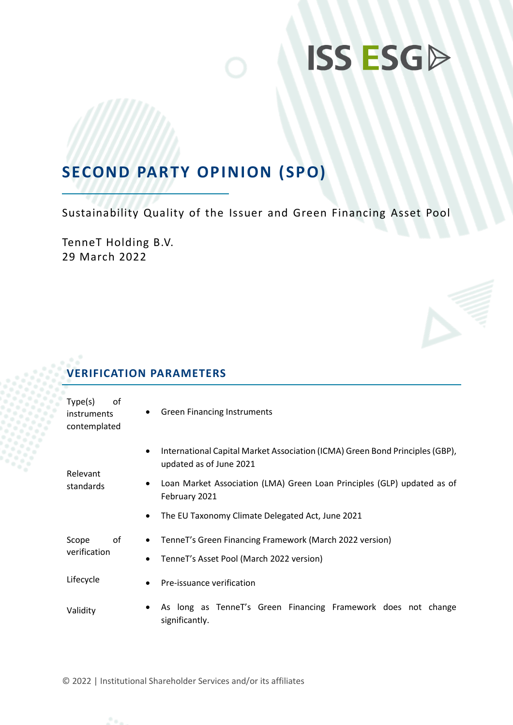### **SECOND PARTY OPINION (SPO)**

Sustainability Quality of the Issuer and Green Financing Asset Pool

TenneT Holding B.V. 29 March 2022

### **VERIFICATION PARAMETERS**

| Type(s)<br>οf<br><i>instruments</i><br>contemplated | <b>Green Financing Instruments</b><br>٠                                                                                       |
|-----------------------------------------------------|-------------------------------------------------------------------------------------------------------------------------------|
| Relevant                                            | International Capital Market Association (ICMA) Green Bond Principles (GBP),<br>$\bullet$<br>updated as of June 2021          |
| standards                                           | Loan Market Association (LMA) Green Loan Principles (GLP) updated as of<br>٠<br>February 2021                                 |
|                                                     | The EU Taxonomy Climate Delegated Act, June 2021                                                                              |
| οf<br>Scope<br>verification                         | TenneT's Green Financing Framework (March 2022 version)<br>$\bullet$<br>TenneT's Asset Pool (March 2022 version)<br>$\bullet$ |
| Lifecycle                                           | Pre-issuance verification<br>$\bullet$                                                                                        |
| Validity                                            | As long as TenneT's Green Financing Framework does not change<br>٠<br>significantly.                                          |

© 2022 | Institutional Shareholder Services and/or its affiliates

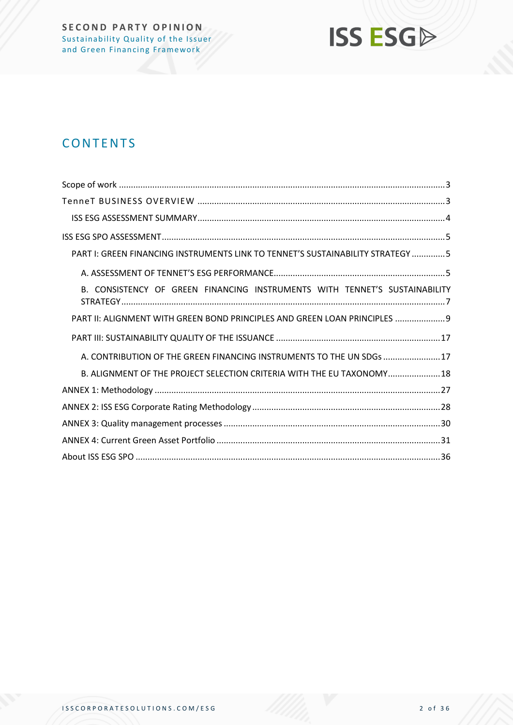

### **CONTENTS**

| PART I: GREEN FINANCING INSTRUMENTS LINK TO TENNET'S SUSTAINABILITY STRATEGY 5 |
|--------------------------------------------------------------------------------|
|                                                                                |
| B. CONSISTENCY OF GREEN FINANCING INSTRUMENTS WITH TENNET'S SUSTAINABILITY     |
| PART II: ALIGNMENT WITH GREEN BOND PRINCIPLES AND GREEN LOAN PRINCIPLES  9     |
|                                                                                |
| A. CONTRIBUTION OF THE GREEN FINANCING INSTRUMENTS TO THE UN SDGs 17           |
| B. ALIGNMENT OF THE PROJECT SELECTION CRITERIA WITH THE EU TAXONOMY 18         |
|                                                                                |
|                                                                                |
|                                                                                |
|                                                                                |
|                                                                                |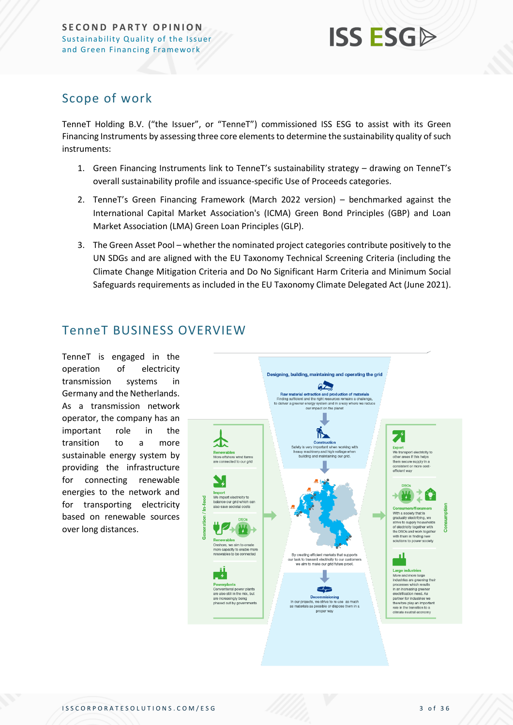### <span id="page-2-0"></span>Scope of work

TenneT Holding B.V. ("the Issuer", or "TenneT") commissioned ISS ESG to assist with its Green Financing Instruments by assessing three core elements to determine the sustainability quality of such instruments:

- 1. Green Financing Instruments link to TenneT's sustainability strategy drawing on TenneT's overall sustainability profile and issuance-specific Use of Proceeds categories.
- 2. TenneT's Green Financing Framework (March 2022 version) benchmarked against the International Capital Market Association's (ICMA) Green Bond Principles (GBP) and Loan Market Association (LMA) Green Loan Principles (GLP).
- 3. The Green Asset Pool whether the nominated project categories contribute positively to the UN SDGs and are aligned with the EU Taxonomy Technical Screening Criteria (including the Climate Change Mitigation Criteria and Do No Significant Harm Criteria and Minimum Social Safeguards requirements as included in the EU Taxonomy Climate Delegated Act (June 2021).

### <span id="page-2-1"></span>TenneT BUSINESS OVERVIEW

TenneT is engaged in the operation of electricity transmission systems in Germany and the Netherlands. As a transmission network operator, the company has an important role in the transition to a more sustainable energy system by providing the infrastructure for connecting renewable energies to the network and for transporting electricity based on renewable sources over long distances.

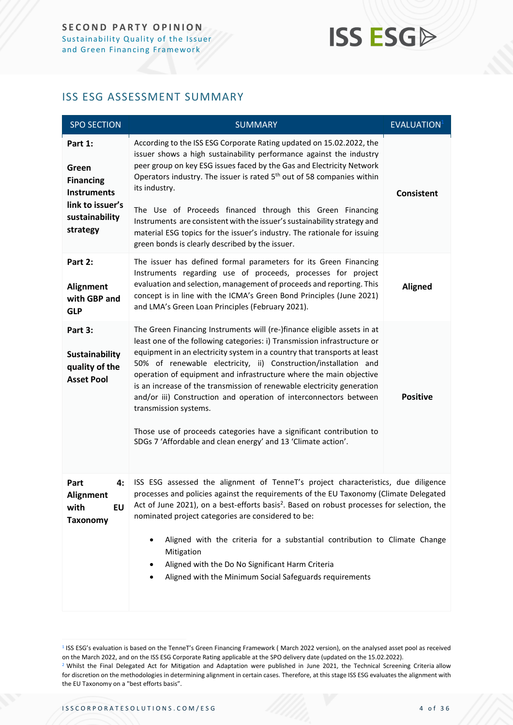### <span id="page-3-0"></span>ISS ESG ASSESSMENT SUMMARY

| <b>SPO SECTION</b>                                                                                           | <b>SUMMARY</b>                                                                                                                                                                                                                                                                                                                                                                                                                                                                                                                                                                                                                                                                           | <b>EVALUATION</b> <sup>1</sup> |
|--------------------------------------------------------------------------------------------------------------|------------------------------------------------------------------------------------------------------------------------------------------------------------------------------------------------------------------------------------------------------------------------------------------------------------------------------------------------------------------------------------------------------------------------------------------------------------------------------------------------------------------------------------------------------------------------------------------------------------------------------------------------------------------------------------------|--------------------------------|
| Part 1:<br>Green<br><b>Financing</b><br><b>Instruments</b><br>link to issuer's<br>sustainability<br>strategy | According to the ISS ESG Corporate Rating updated on 15.02.2022, the<br>issuer shows a high sustainability performance against the industry<br>peer group on key ESG issues faced by the Gas and Electricity Network<br>Operators industry. The issuer is rated 5 <sup>th</sup> out of 58 companies within<br>its industry.<br>The Use of Proceeds financed through this Green Financing<br>Instruments are consistent with the issuer's sustainability strategy and<br>material ESG topics for the issuer's industry. The rationale for issuing<br>green bonds is clearly described by the issuer.                                                                                      | <b>Consistent</b>              |
| Part 2:<br>Alignment<br>with GBP and<br><b>GLP</b>                                                           | The issuer has defined formal parameters for its Green Financing<br>Instruments regarding use of proceeds, processes for project<br>evaluation and selection, management of proceeds and reporting. This<br>concept is in line with the ICMA's Green Bond Principles (June 2021)<br>and LMA's Green Loan Principles (February 2021).                                                                                                                                                                                                                                                                                                                                                     | <b>Aligned</b>                 |
| Part 3:<br><b>Sustainability</b><br>quality of the<br><b>Asset Pool</b>                                      | The Green Financing Instruments will (re-)finance eligible assets in at<br>least one of the following categories: i) Transmission infrastructure or<br>equipment in an electricity system in a country that transports at least<br>50% of renewable electricity, ii) Construction/installation and<br>operation of equipment and infrastructure where the main objective<br>is an increase of the transmission of renewable electricity generation<br>and/or iii) Construction and operation of interconnectors between<br>transmission systems.<br>Those use of proceeds categories have a significant contribution to<br>SDGs 7 'Affordable and clean energy' and 13 'Climate action'. | <b>Positive</b>                |
| Part<br>4:<br>Alignment<br><b>EU</b><br>with<br><b>Taxonomy</b>                                              | ISS ESG assessed the alignment of TenneT's project characteristics, due diligence<br>processes and policies against the requirements of the EU Taxonomy (Climate Delegated<br>Act of June 2021), on a best-efforts basis <sup>2</sup> . Based on robust processes for selection, the<br>nominated project categories are considered to be:<br>Aligned with the criteria for a substantial contribution to Climate Change<br>٠<br>Mitigation<br>Aligned with the Do No Significant Harm Criteria<br>Aligned with the Minimum Social Safeguards requirements<br>٠                                                                                                                          |                                |

<sup>&</sup>lt;sup>1</sup> ISS ESG's evaluation is based on the TenneT's Green Financing Framework (March 2022 version), on the analysed asset pool as received on the March 2022, and on the ISS ESG Corporate Rating applicable at the SPO delivery date (updated on the 15.02.2022). <sup>2</sup> Whilst the Final Delegated Act for Mitigation and Adaptation were published in June 2021, the Technical Screening Criteria allow for discretion on the methodologies in determining alignment in certain cases. Therefore, at this stage ISS ESG evaluates the alignment with the EU Taxonomy on a "best efforts basis".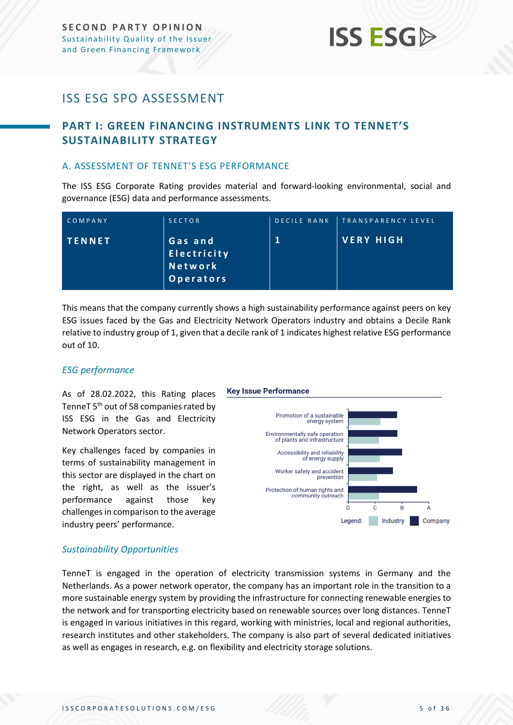### <span id="page-4-0"></span>ISS ESG SPO ASSESSMENT

### <span id="page-4-1"></span>**PART I: GREEN FINANCING INSTRUMENTS LINK TO TENNET'S SUSTAINABILITY STRATEGY**

### <span id="page-4-2"></span>A. ASSESSMENT OF TENNET'S ESG PERFORMANCE

The ISS ESG Corporate Rating provides material and forward-looking environmental, social and governance (ESG) data and performance assessments.

| COMPANY       | <b>SECTOR</b>                                    | DECILE RANK | TRANSPARENCY LEVEL |
|---------------|--------------------------------------------------|-------------|--------------------|
| <b>TENNET</b> | 'Gas and,<br>Electricity<br>Network<br>Operators |             | VERY HIGH          |

This means that the company currently shows a high sustainability performance against peers on key ESG issues faced by the Gas and Electricity Network Operators industry and obtains a Decile Rank relative to industry group of 1, given that a decile rank of 1 indicates highest relative ESG performance out of 10.

### *ESG performance*

As of 28.02.2022, this Rating places TenneT 5<sup>th</sup> out of 58 companies rated by ISS ESG in the Gas and Electricity Network Operators sector.

Key challenges faced by companies in terms of sustainability management in this sector are displayed in the chart on the right, as well as the issuer's performance against those key challenges in comparison to the average industry peers' performance.

### **Key Issue Performance**



### *Sustainability Opportunities*

TenneT is engaged in the operation of electricity transmission systems in Germany and the Netherlands. As a power network operator, the company has an important role in the transition to a more sustainable energy system by providing the infrastructure for connecting renewable energies to the network and for transporting electricity based on renewable sources over long distances. TenneT is engaged in various initiatives in this regard, working with ministries, local and regional authorities, research institutes and other stakeholders. The company is also part of several dedicated initiatives as well as engages in research, e.g. on flexibility and electricity storage solutions.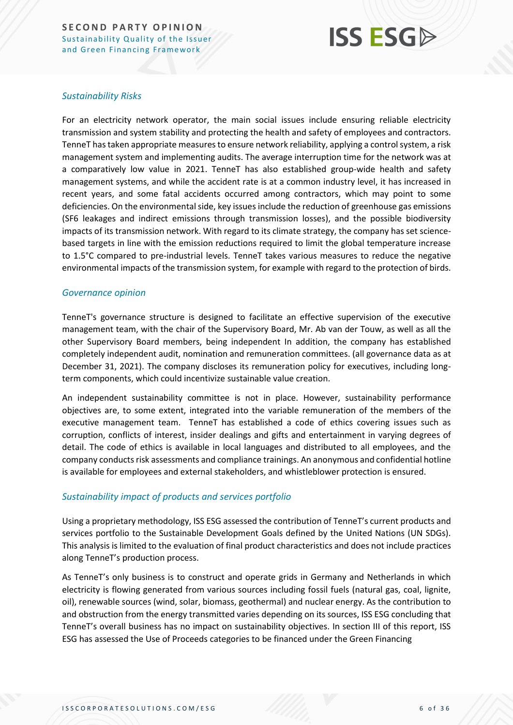## **ISS ESG**

### *Sustainability Risks*

For an electricity network operator, the main social issues include ensuring reliable electricity transmission and system stability and protecting the health and safety of employees and contractors. TenneT has taken appropriate measures to ensure network reliability, applying a control system, a risk management system and implementing audits. The average interruption time for the network was at a comparatively low value in 2021. TenneT has also established group-wide health and safety management systems, and while the accident rate is at a common industry level, it has increased in recent years, and some fatal accidents occurred among contractors, which may point to some deficiencies. On the environmental side, key issues include the reduction of greenhouse gas emissions (SF6 leakages and indirect emissions through transmission losses), and the possible biodiversity impacts of its transmission network. With regard to its climate strategy, the company has set sciencebased targets in line with the emission reductions required to limit the global temperature increase to 1.5°C compared to pre-industrial levels. TenneT takes various measures to reduce the negative environmental impacts of the transmission system, for example with regard to the protection of birds.

### *Governance opinion*

TenneT's governance structure is designed to facilitate an effective supervision of the executive management team, with the chair of the Supervisory Board, Mr. Ab van der Touw, as well as all the other Supervisory Board members, being independent In addition, the company has established completely independent audit, nomination and remuneration committees. (all governance data as at December 31, 2021). The company discloses its remuneration policy for executives, including longterm components, which could incentivize sustainable value creation.

An independent sustainability committee is not in place. However, sustainability performance objectives are, to some extent, integrated into the variable remuneration of the members of the executive management team. TenneT has established a code of ethics covering issues such as corruption, conflicts of interest, insider dealings and gifts and entertainment in varying degrees of detail. The code of ethics is available in local languages and distributed to all employees, and the company conducts risk assessments and compliance trainings. An anonymous and confidential hotline is available for employees and external stakeholders, and whistleblower protection is ensured.

### *Sustainability impact of products and services portfolio*

Using a proprietary methodology, ISS ESG assessed the contribution of TenneT's current products and services portfolio to the Sustainable Development Goals defined by the United Nations (UN SDGs). This analysis is limited to the evaluation of final product characteristics and does not include practices along TenneT's production process.

As TenneT's only business is to construct and operate grids in Germany and Netherlands in which electricity is flowing generated from various sources including fossil fuels (natural gas, coal, lignite, oil), renewable sources (wind, solar, biomass, geothermal) and nuclear energy. As the contribution to and obstruction from the energy transmitted varies depending on its sources, ISS ESG concluding that TenneT's overall business has no impact on sustainability objectives. In section III of this report, ISS ESG has assessed the Use of Proceeds categories to be financed under the Green Financing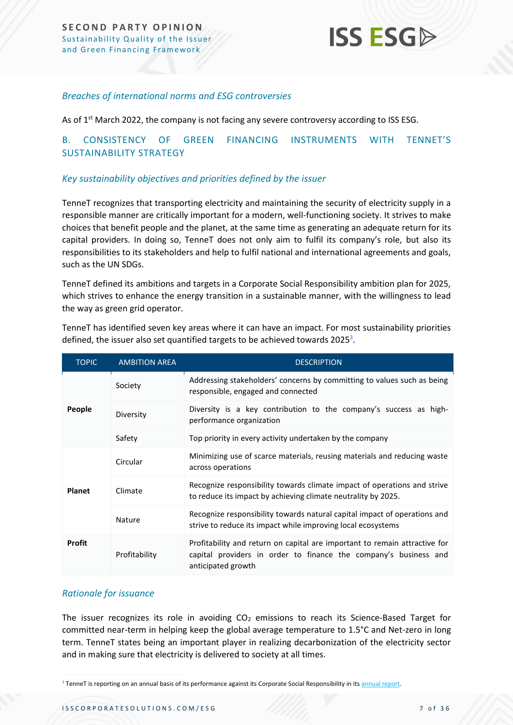### *Breaches of international norms and ESG controversies*

As of 1<sup>st</sup> March 2022, the company is not facing any severe controversy according to ISS ESG.

### <span id="page-6-0"></span>B. CONSISTENCY OF GREEN FINANCING INSTRUMENTS WITH TENNET'S SUSTAINABILITY STRATEGY

### *Key sustainability objectives and priorities defined by the issuer*

TenneT recognizes that transporting electricity and maintaining the security of electricity supply in a responsible manner are critically important for a modern, well-functioning society. It strives to make choices that benefit people and the planet, at the same time as generating an adequate return for its capital providers. In doing so, TenneT does not only aim to fulfil its company's role, but also its responsibilities to its stakeholders and help to fulfil national and international agreements and goals, such as the UN SDGs.

TenneT defined its ambitions and targets in a Corporate Social Responsibility ambition plan for 2025, which strives to enhance the energy transition in a sustainable manner, with the willingness to lead the way as green grid operator.

| <b>TOPIC</b>  | <b>AMBITION AREA</b>                                                                                                                                                                  | <b>DESCRIPTION</b>                                                                                                                        |
|---------------|---------------------------------------------------------------------------------------------------------------------------------------------------------------------------------------|-------------------------------------------------------------------------------------------------------------------------------------------|
|               | Society                                                                                                                                                                               | Addressing stakeholders' concerns by committing to values such as being<br>responsible, engaged and connected                             |
| People        | Diversity                                                                                                                                                                             | Diversity is a key contribution to the company's success as high-<br>performance organization                                             |
|               | Safety                                                                                                                                                                                | Top priority in every activity undertaken by the company                                                                                  |
|               | Minimizing use of scarce materials, reusing materials and reducing waste<br>Circular<br>across operations                                                                             |                                                                                                                                           |
| <b>Planet</b> | Climate                                                                                                                                                                               | Recognize responsibility towards climate impact of operations and strive<br>to reduce its impact by achieving climate neutrality by 2025. |
|               | Nature                                                                                                                                                                                | Recognize responsibility towards natural capital impact of operations and<br>strive to reduce its impact while improving local ecosystems |
| <b>Profit</b> | Profitability and return on capital are important to remain attractive for<br>Profitability<br>capital providers in order to finance the company's business and<br>anticipated growth |                                                                                                                                           |

TenneT has identified seven key areas where it can have an impact. For most sustainability priorities defined, the issuer also set quantified targets to be achieved towards 2025<sup>3</sup>.

### *Rationale for issuance*

The issuer recognizes its role in avoiding  $CO<sub>2</sub>$  emissions to reach its Science-Based Target for committed near-term in helping keep the global average temperature to 1.5°C and Net-zero in long term. TenneT states being an important player in realizing decarbonization of the electricity sector and in making sure that electricity is delivered to society at all times.

<sup>&</sup>lt;sup>3</sup> TenneT is reporting on an annual basis of its performance against its Corporate Social Responsibility in it[s annual report.](file:///C:/Users/durrmar/AppData/Local/Microsoft/Windows/INetCache/Content.Outlook/RB1OHAOU/annual%20report)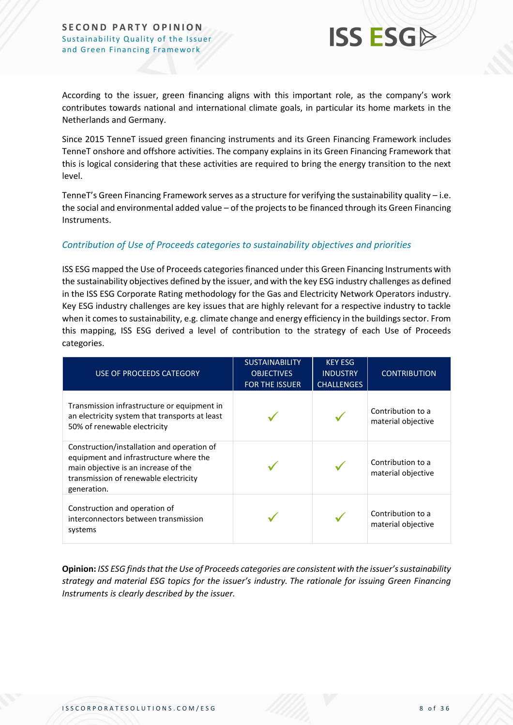

According to the issuer, green financing aligns with this important role, as the company's work contributes towards national and international climate goals, in particular its home markets in the Netherlands and Germany.

Since 2015 TenneT issued green financing instruments and its Green Financing Framework includes TenneT onshore and offshore activities. The company explains in its Green Financing Framework that this is logical considering that these activities are required to bring the energy transition to the next level.

TenneT's Green Financing Framework serves as a structure for verifying the sustainability quality – i.e. the social and environmental added value – of the projects to be financed through its Green Financing Instruments.

### *Contribution of Use of Proceeds categories to sustainability objectives and priorities*

ISS ESG mapped the Use of Proceeds categories financed under this Green Financing Instruments with the sustainability objectives defined by the issuer, and with the key ESG industry challenges as defined in the ISS ESG Corporate Rating methodology for the Gas and Electricity Network Operators industry. Key ESG industry challenges are key issues that are highly relevant for a respective industry to tackle when it comes to sustainability, e.g. climate change and energy efficiency in the buildings sector. From this mapping, ISS ESG derived a level of contribution to the strategy of each Use of Proceeds categories.

| USE OF PROCEEDS CATEGORY                                                                                                                                                             | <b>SUSTAINABILITY</b><br><b>OBJECTIVES</b><br><b>FOR THE ISSUER</b> | <b>KEY ESG</b><br><b>INDUSTRY</b><br><b>CHALLENGES</b> | <b>CONTRIBUTION</b>                     |
|--------------------------------------------------------------------------------------------------------------------------------------------------------------------------------------|---------------------------------------------------------------------|--------------------------------------------------------|-----------------------------------------|
| Transmission infrastructure or equipment in<br>an electricity system that transports at least<br>50% of renewable electricity                                                        |                                                                     |                                                        | Contribution to a<br>material objective |
| Construction/installation and operation of<br>equipment and infrastructure where the<br>main objective is an increase of the<br>transmission of renewable electricity<br>generation. |                                                                     |                                                        | Contribution to a<br>material objective |
| Construction and operation of<br>interconnectors between transmission<br>systems                                                                                                     |                                                                     |                                                        | Contribution to a<br>material objective |

**Opinion:** *ISS ESG finds that the Use of Proceeds categories are consistent with the issuer's sustainability strategy and material ESG topics for the issuer's industry. The rationale for issuing Green Financing Instruments is clearly described by the issuer.*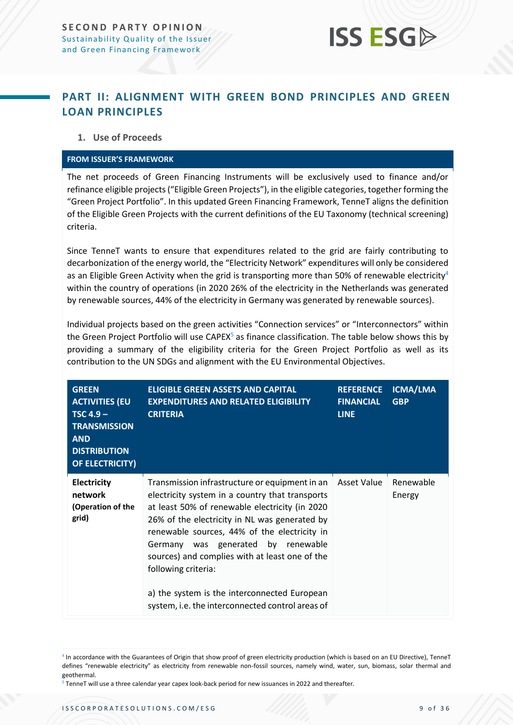### <span id="page-8-0"></span>**PART II: ALIGNMENT WITH GREEN BOND PRINCIPLES AND GREEN LOAN PRINCIPLES**

### **1. Use of Proceeds**

#### **FROM ISSUER'S FRAMEWORK**

The net proceeds of Green Financing Instruments will be exclusively used to finance and/or refinance eligible projects ("Eligible Green Projects"), in the eligible categories, together forming the "Green Project Portfolio". In this updated Green Financing Framework, TenneT aligns the definition of the Eligible Green Projects with the current definitions of the EU Taxonomy (technical screening) criteria.

Since TenneT wants to ensure that expenditures related to the grid are fairly contributing to decarbonization of the energy world, the "Electricity Network" expenditures will only be considered as an Eligible Green Activity when the grid is transporting more than 50% of renewable electricity<sup>4</sup> within the country of operations (in 2020 26% of the electricity in the Netherlands was generated by renewable sources, 44% of the electricity in Germany was generated by renewable sources).

Individual projects based on the green activities "Connection services" or "Interconnectors" within the Green Project Portfolio will use CAPEX<sup>5</sup> as finance classification. The table below shows this by providing a summary of the eligibility criteria for the Green Project Portfolio as well as its contribution to the UN SDGs and alignment with the EU Environmental Objectives.

| <b>GREEN</b><br><b>ACTIVITIES (EU</b><br>$TSC 4.9 -$<br><b>TRANSMISSION</b><br><b>AND</b><br><b>DISTRIBUTION</b><br><b>OF ELECTRICITY)</b> | <b>ELIGIBLE GREEN ASSETS AND CAPITAL</b><br><b>EXPENDITURES AND RELATED ELIGIBILITY</b><br><b>CRITERIA</b>                                                                                                                                                                                                                                                                                                                                                              | <b>REFERENCE</b><br><b>FINANCIAL</b><br><b>LINE</b> | ICMA/LMA<br><b>GBP</b> |
|--------------------------------------------------------------------------------------------------------------------------------------------|-------------------------------------------------------------------------------------------------------------------------------------------------------------------------------------------------------------------------------------------------------------------------------------------------------------------------------------------------------------------------------------------------------------------------------------------------------------------------|-----------------------------------------------------|------------------------|
| <b>Electricity</b><br>network<br>(Operation of the<br>grid)                                                                                | Transmission infrastructure or equipment in an<br>electricity system in a country that transports<br>at least 50% of renewable electricity (in 2020<br>26% of the electricity in NL was generated by<br>renewable sources, 44% of the electricity in<br>Germany was generated by renewable<br>sources) and complies with at least one of the<br>following criteria:<br>a) the system is the interconnected European<br>system, i.e. the interconnected control areas of | Asset Value                                         | Renewable<br>Energy    |

<sup>4</sup> In accordance with the Guarantees of Origin that show proof of green electricity production (which is based on an EU Directive), TenneT defines "renewable electricity" as electricity from renewable non-fossil sources, namely wind, water, sun, biomass, solar thermal and geothermal.

<sup>5</sup> TenneT will use a three calendar year capex look-back period for new issuances in 2022 and thereafter.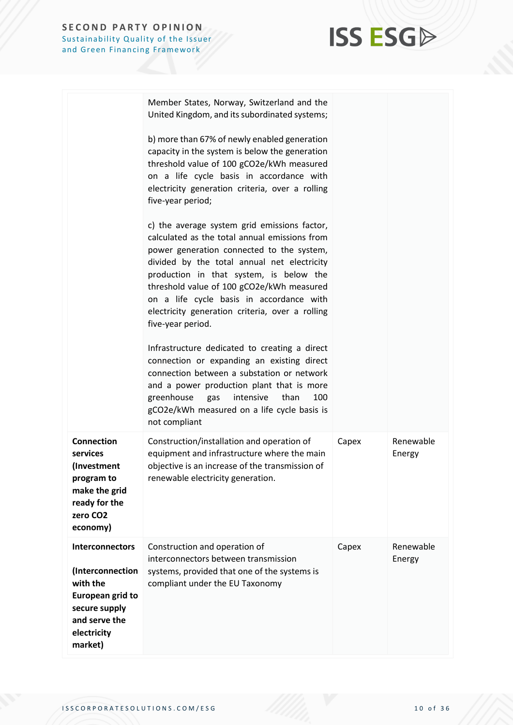

|                                                                                                                                        | Member States, Norway, Switzerland and the<br>United Kingdom, and its subordinated systems;                                                                                                                                                                                                                                                                                                           |       |                     |
|----------------------------------------------------------------------------------------------------------------------------------------|-------------------------------------------------------------------------------------------------------------------------------------------------------------------------------------------------------------------------------------------------------------------------------------------------------------------------------------------------------------------------------------------------------|-------|---------------------|
|                                                                                                                                        | b) more than 67% of newly enabled generation<br>capacity in the system is below the generation<br>threshold value of 100 gCO2e/kWh measured<br>on a life cycle basis in accordance with<br>electricity generation criteria, over a rolling<br>five-year period;                                                                                                                                       |       |                     |
|                                                                                                                                        | c) the average system grid emissions factor,<br>calculated as the total annual emissions from<br>power generation connected to the system,<br>divided by the total annual net electricity<br>production in that system, is below the<br>threshold value of 100 gCO2e/kWh measured<br>on a life cycle basis in accordance with<br>electricity generation criteria, over a rolling<br>five-year period. |       |                     |
|                                                                                                                                        | Infrastructure dedicated to creating a direct<br>connection or expanding an existing direct<br>connection between a substation or network<br>and a power production plant that is more<br>greenhouse<br>intensive<br>than<br>100<br>gas<br>gCO2e/kWh measured on a life cycle basis is<br>not compliant                                                                                               |       |                     |
| <b>Connection</b><br>services<br>(Investment<br>program to<br>make the grid<br>ready for the<br>zero CO <sub>2</sub><br>economy)       | Construction/installation and operation of<br>equipment and infrastructure where the main<br>objective is an increase of the transmission of<br>renewable electricity generation.                                                                                                                                                                                                                     | Capex | Renewable<br>Energy |
| Interconnectors<br>(Interconnection<br>with the<br><b>European grid to</b><br>secure supply<br>and serve the<br>electricity<br>market) | Construction and operation of<br>interconnectors between transmission<br>systems, provided that one of the systems is<br>compliant under the EU Taxonomy                                                                                                                                                                                                                                              | Capex | Renewable<br>Energy |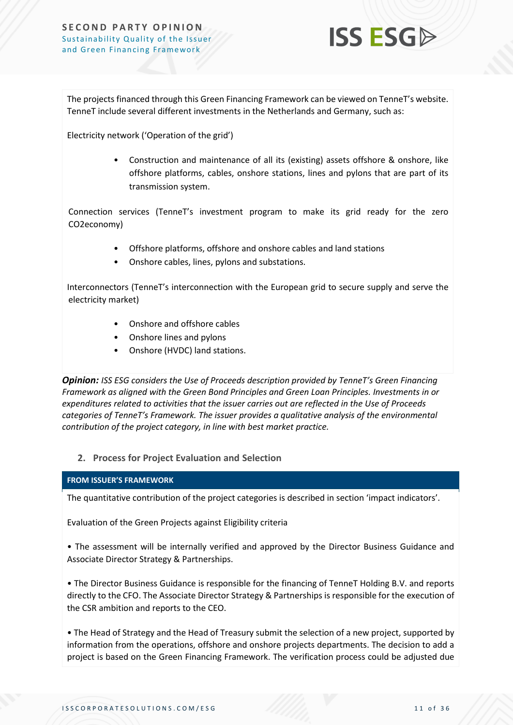

The projects financed through this Green Financing Framework can be viewed on TenneT's website. TenneT include several different investments in the Netherlands and Germany, such as:

Electricity network ('Operation of the grid')

• Construction and maintenance of all its (existing) assets offshore & onshore, like offshore platforms, cables, onshore stations, lines and pylons that are part of its transmission system.

Connection services (TenneT's investment program to make its grid ready for the zero CO2economy)

- Offshore platforms, offshore and onshore cables and land stations
- Onshore cables, lines, pylons and substations.

Interconnectors (TenneT's interconnection with the European grid to secure supply and serve the electricity market)

- Onshore and offshore cables
- Onshore lines and pylons
- Onshore (HVDC) land stations.

*Opinion: ISS ESG considers the Use of Proceeds description provided by TenneT's Green Financing Framework as aligned with the Green Bond Principles and Green Loan Principles. Investments in or expenditures related to activities that the issuer carries out are reflected in the Use of Proceeds categories of TenneT's Framework. The issuer provides a qualitative analysis of the environmental contribution of the project category, in line with best market practice.*

### **2. Process for Project Evaluation and Selection**

### **FROM ISSUER'S FRAMEWORK**

The quantitative contribution of the project categories is described in section 'impact indicators'.

Evaluation of the Green Projects against Eligibility criteria

• The assessment will be internally verified and approved by the Director Business Guidance and Associate Director Strategy & Partnerships.

• The Director Business Guidance is responsible for the financing of TenneT Holding B.V. and reports directly to the CFO. The Associate Director Strategy & Partnerships is responsible for the execution of the CSR ambition and reports to the CEO.

• The Head of Strategy and the Head of Treasury submit the selection of a new project, supported by information from the operations, offshore and onshore projects departments. The decision to add a project is based on the Green Financing Framework. The verification process could be adjusted due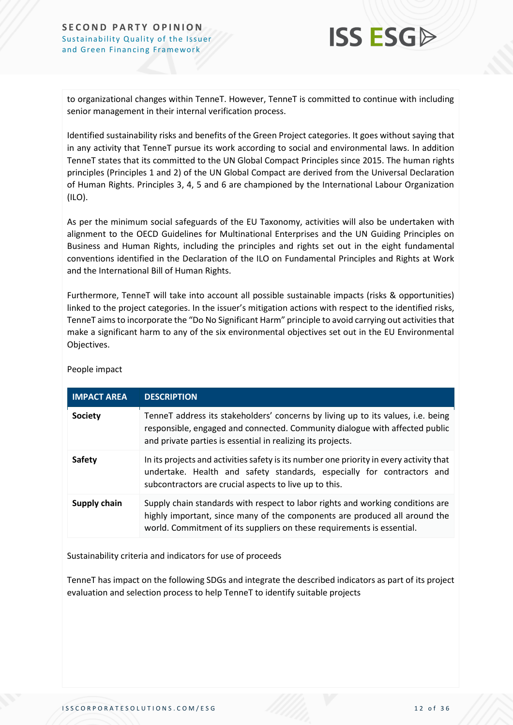

to organizational changes within TenneT. However, TenneT is committed to continue with including senior management in their internal verification process.

Identified sustainability risks and benefits of the Green Project categories. It goes without saying that in any activity that TenneT pursue its work according to social and environmental laws. In addition TenneT states that its committed to the UN Global Compact Principles since 2015. The human rights principles (Principles 1 and 2) of the UN Global Compact are derived from the Universal Declaration of Human Rights. Principles 3, 4, 5 and 6 are championed by the International Labour Organization (ILO).

As per the minimum social safeguards of the EU Taxonomy, activities will also be undertaken with alignment to the OECD Guidelines for Multinational Enterprises and the UN Guiding Principles on Business and Human Rights, including the principles and rights set out in the eight fundamental conventions identified in the Declaration of the ILO on Fundamental Principles and Rights at Work and the International Bill of Human Rights.

Furthermore, TenneT will take into account all possible sustainable impacts (risks & opportunities) linked to the project categories. In the issuer's mitigation actions with respect to the identified risks, TenneT aimsto incorporate the "Do No Significant Harm" principle to avoid carrying out activities that make a significant harm to any of the six environmental objectives set out in the EU Environmental Objectives.

| <b>IMPACT AREA</b> | <b>DESCRIPTION</b>                                                                                                                                                                                                                     |
|--------------------|----------------------------------------------------------------------------------------------------------------------------------------------------------------------------------------------------------------------------------------|
| <b>Society</b>     | TenneT address its stakeholders' concerns by living up to its values, i.e. being<br>responsible, engaged and connected. Community dialogue with affected public<br>and private parties is essential in realizing its projects.         |
| <b>Safety</b>      | In its projects and activities safety is its number one priority in every activity that<br>undertake. Health and safety standards, especially for contractors and<br>subcontractors are crucial aspects to live up to this.            |
| Supply chain       | Supply chain standards with respect to labor rights and working conditions are<br>highly important, since many of the components are produced all around the<br>world. Commitment of its suppliers on these requirements is essential. |

People impact

Sustainability criteria and indicators for use of proceeds

TenneT has impact on the following SDGs and integrate the described indicators as part of its project evaluation and selection process to help TenneT to identify suitable projects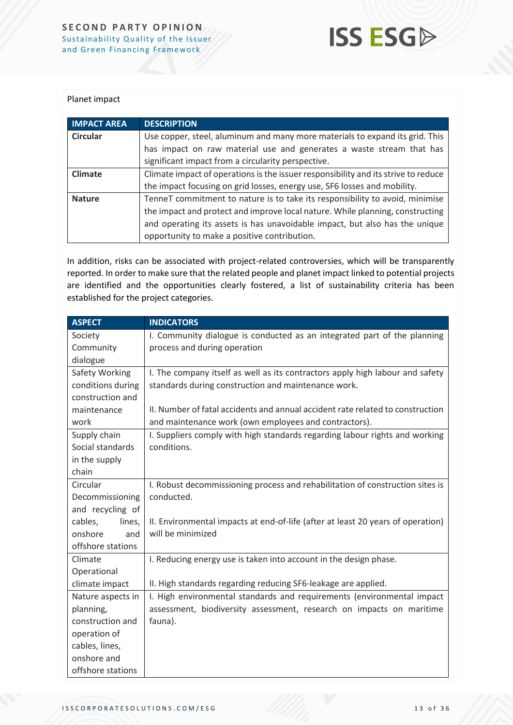

#### Planet impact

| <b>IMPACT AREA</b> | <b>DESCRIPTION</b>                                                                 |
|--------------------|------------------------------------------------------------------------------------|
| <b>Circular</b>    | Use copper, steel, aluminum and many more materials to expand its grid. This       |
|                    | has impact on raw material use and generates a waste stream that has               |
|                    | significant impact from a circularity perspective.                                 |
| Climate            | Climate impact of operations is the issuer responsibility and its strive to reduce |
|                    | the impact focusing on grid losses, energy use, SF6 losses and mobility.           |
| <b>Nature</b>      | TenneT commitment to nature is to take its responsibility to avoid, minimise       |
|                    | the impact and protect and improve local nature. While planning, constructing      |
|                    | and operating its assets is has unavoidable impact, but also has the unique        |
|                    | opportunity to make a positive contribution.                                       |

In addition, risks can be associated with project-related controversies, which will be transparently reported. In order to make sure that the related people and planet impact linked to potential projects are identified and the opportunities clearly fostered, a list of sustainability criteria has been established for the project categories.

| <b>ASPECT</b>     | <b>INDICATORS</b>                                                               |  |
|-------------------|---------------------------------------------------------------------------------|--|
| Society           | I. Community dialogue is conducted as an integrated part of the planning        |  |
| Community         | process and during operation                                                    |  |
| dialogue          |                                                                                 |  |
| Safety Working    | I. The company itself as well as its contractors apply high labour and safety   |  |
| conditions during | standards during construction and maintenance work.                             |  |
| construction and  |                                                                                 |  |
| maintenance       | II. Number of fatal accidents and annual accident rate related to construction  |  |
| work              | and maintenance work (own employees and contractors).                           |  |
| Supply chain      | I. Suppliers comply with high standards regarding labour rights and working     |  |
| Social standards  | conditions.                                                                     |  |
| in the supply     |                                                                                 |  |
| chain             |                                                                                 |  |
| Circular          | I. Robust decommissioning process and rehabilitation of construction sites is   |  |
| Decommissioning   | conducted.                                                                      |  |
| and recycling of  |                                                                                 |  |
| cables,<br>lines, | II. Environmental impacts at end-of-life (after at least 20 years of operation) |  |
| onshore<br>and    | will be minimized                                                               |  |
| offshore stations |                                                                                 |  |
| Climate           | I. Reducing energy use is taken into account in the design phase.               |  |
| Operational       |                                                                                 |  |
| climate impact    | II. High standards regarding reducing SF6-leakage are applied.                  |  |
| Nature aspects in | I. High environmental standards and requirements (environmental impact          |  |
| planning,         | assessment, biodiversity assessment, research on impacts on maritime            |  |
| construction and  | fauna).                                                                         |  |
| operation of      |                                                                                 |  |
| cables, lines,    |                                                                                 |  |
| onshore and       |                                                                                 |  |
| offshore stations |                                                                                 |  |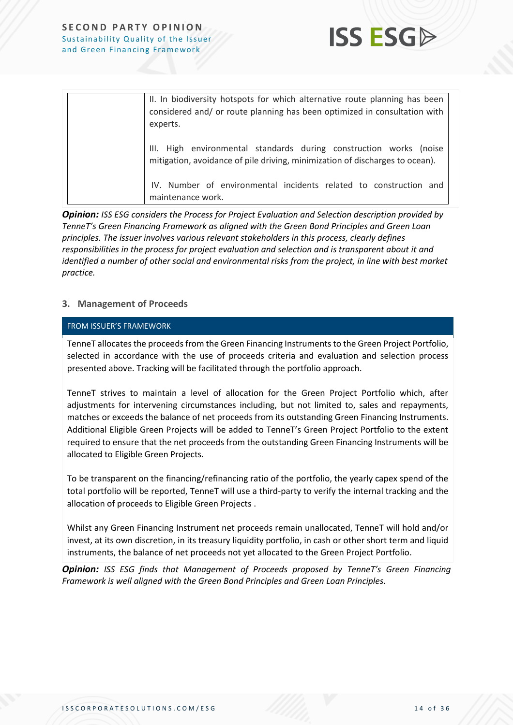

| II. In biodiversity hotspots for which alternative route planning has been<br>considered and/ or route planning has been optimized in consultation with<br>experts. |
|---------------------------------------------------------------------------------------------------------------------------------------------------------------------|
| III. High environmental standards during construction works (noise<br>mitigation, avoidance of pile driving, minimization of discharges to ocean).                  |
| IV. Number of environmental incidents related to construction and<br>maintenance work.                                                                              |

*Opinion: ISS ESG considers the Process for Project Evaluation and Selection description provided by TenneT's Green Financing Framework as aligned with the Green Bond Principles and Green Loan principles. The issuer involves various relevant stakeholders in this process, clearly defines responsibilities in the process for project evaluation and selection and is transparent about it and identified a number of other social and environmental risks from the project, in line with best market practice.* 

### **3. Management of Proceeds**

#### FROM ISSUER'S FRAMEWORK

TenneT allocates the proceeds from the Green Financing Instruments to the Green Project Portfolio, selected in accordance with the use of proceeds criteria and evaluation and selection process presented above. Tracking will be facilitated through the portfolio approach.

TenneT strives to maintain a level of allocation for the Green Project Portfolio which, after adjustments for intervening circumstances including, but not limited to, sales and repayments, matches or exceeds the balance of net proceeds from its outstanding Green Financing Instruments. Additional Eligible Green Projects will be added to TenneT's Green Project Portfolio to the extent required to ensure that the net proceeds from the outstanding Green Financing Instruments will be allocated to Eligible Green Projects.

To be transparent on the financing/refinancing ratio of the portfolio, the yearly capex spend of the total portfolio will be reported, TenneT will use a third-party to verify the internal tracking and the allocation of proceeds to Eligible Green Projects .

Whilst any Green Financing Instrument net proceeds remain unallocated, TenneT will hold and/or invest, at its own discretion, in its treasury liquidity portfolio, in cash or other short term and liquid instruments, the balance of net proceeds not yet allocated to the Green Project Portfolio.

*Opinion: ISS ESG finds that Management of Proceeds proposed by TenneT's Green Financing Framework is well aligned with the Green Bond Principles and Green Loan Principles.*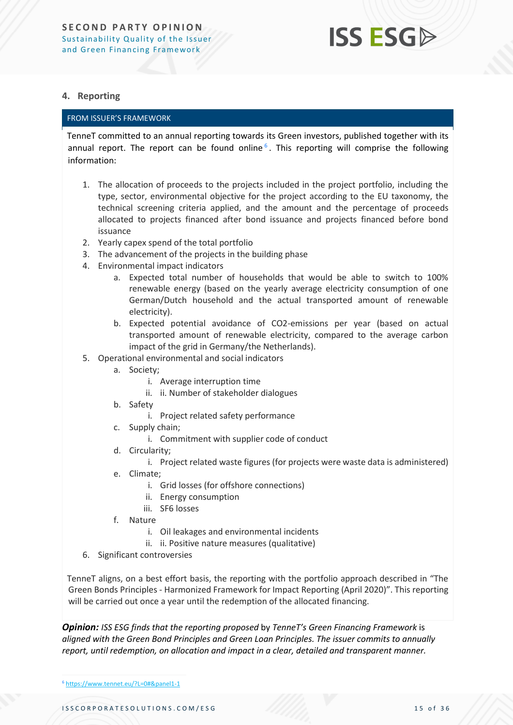### **4. Reporting**

### FROM ISSUER'S FRAMEWORK

TenneT committed to an annual reporting towards its Green investors, published together with its annual report. The report can be found online<sup>6</sup>. This reporting will comprise the following information:

- 1. The allocation of proceeds to the projects included in the project portfolio, including the type, sector, environmental objective for the project according to the EU taxonomy, the technical screening criteria applied, and the amount and the percentage of proceeds allocated to projects financed after bond issuance and projects financed before bond issuance
- 2. Yearly capex spend of the total portfolio
- 3. The advancement of the projects in the building phase
- 4. Environmental impact indicators
	- a. Expected total number of households that would be able to switch to 100% renewable energy (based on the yearly average electricity consumption of one German/Dutch household and the actual transported amount of renewable electricity).
	- b. Expected potential avoidance of CO2-emissions per year (based on actual transported amount of renewable electricity, compared to the average carbon impact of the grid in Germany/the Netherlands).
- 5. Operational environmental and social indicators
	- a. Society;
		- i. Average interruption time
		- ii. ii. Number of stakeholder dialogues
	- b. Safety
		- i. Project related safety performance
	- c. Supply chain;
		- i. Commitment with supplier code of conduct
	- d. Circularity;
		- i. Project related waste figures (for projects were waste data is administered)
	- e. Climate;
		- i. Grid losses (for offshore connections)
		- ii. Energy consumption
		- iii. SF6 losses
	- f. Nature
		- i. Oil leakages and environmental incidents
		- ii. ii. Positive nature measures (qualitative)
- 6. Significant controversies

TenneT aligns, on a best effort basis, the reporting with the portfolio approach described in "The Green Bonds Principles - Harmonized Framework for Impact Reporting (April 2020)". This reporting will be carried out once a year until the redemption of the allocated financing.

*Opinion: ISS ESG finds that the reporting proposed* by *TenneT's Green Financing Framework* is *aligned with the Green Bond Principles and Green Loan Principles. The issuer commits to annually report, until redemption, on allocation and impact in a clear, detailed and transparent manner.* 

<sup>6</sup> <https://www.tennet.eu/?L=0#&panel1-1>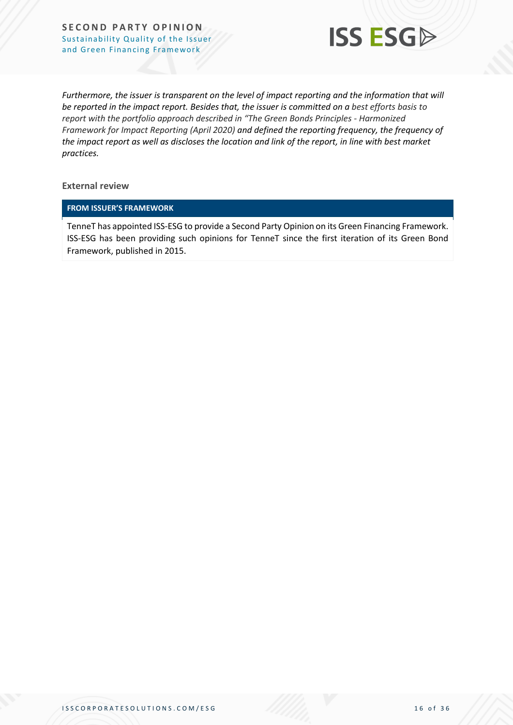

*Furthermore, the issuer is transparent on the level of impact reporting and the information that will be reported in the impact report. Besides that, the issuer is committed on a best efforts basis to report with the portfolio approach described in "The Green Bonds Principles - Harmonized Framework for Impact Reporting (April 2020) and defined the reporting frequency, the frequency of the impact report as well as discloses the location and link of the report, in line with best market practices.*

**External review**

#### **FROM ISSUER'S FRAMEWORK**

TenneT has appointed ISS-ESG to provide a Second Party Opinion on its Green Financing Framework. ISS-ESG has been providing such opinions for TenneT since the first iteration of its Green Bond Framework, published in 2015.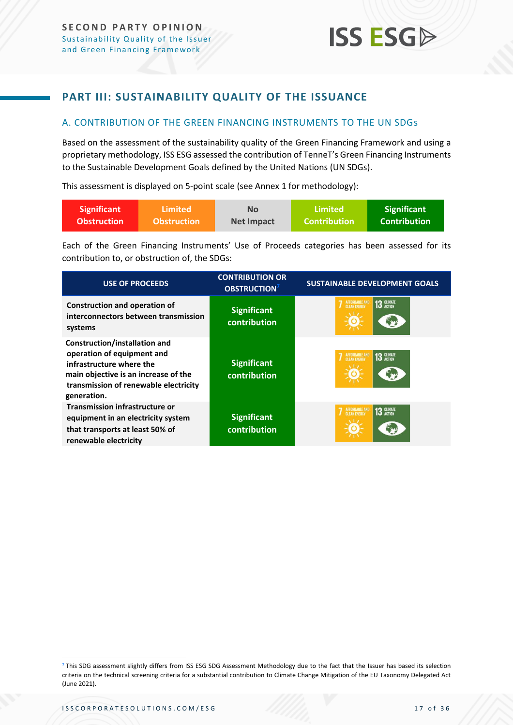### <span id="page-16-0"></span>**PART III: SUSTAINABILITY QUALITY OF THE ISSUANCE**

### <span id="page-16-1"></span>A. CONTRIBUTION OF THE GREEN FINANCING INSTRUMENTS TO THE UN SDGs

Based on the assessment of the sustainability quality of the Green Financing Framework and using a proprietary methodology, ISS ESG assessed the contribution of TenneT's Green Financing Instruments to the Sustainable Development Goals defined by the United Nations (UN SDGs).

This assessment is displayed on 5-point scale (see Annex 1 for methodology):

| <b>Significant</b> | ا Limited          | <b>No</b>         | Limited             | <b>Significant</b>  |
|--------------------|--------------------|-------------------|---------------------|---------------------|
| <b>Obstruction</b> | <b>Obstruction</b> | <b>Net Impact</b> | <b>Contribution</b> | <b>Contribution</b> |

Each of the Green Financing Instruments' Use of Proceeds categories has been assessed for its contribution to, or obstruction of, the SDGs:

| <b>USE OF PROCEEDS</b>                                                                                                                                                                  | <b>CONTRIBUTION OR</b><br>OBSTRUCTION <sup>7</sup> | <b>SUSTAINABLE DEVELOPMENT GOALS</b> |  |  |
|-----------------------------------------------------------------------------------------------------------------------------------------------------------------------------------------|----------------------------------------------------|--------------------------------------|--|--|
| <b>Construction and operation of</b><br>interconnectors between transmission<br>systems                                                                                                 | <b>Significant</b><br>contribution                 | 13 GLIMATE<br>AFFORDABLE AND         |  |  |
| Construction/installation and<br>operation of equipment and<br>infrastructure where the<br>main objective is an increase of the<br>transmission of renewable electricity<br>generation. | <b>Significant</b><br>contribution                 | 13 GLIMATE                           |  |  |
| <b>Transmission infrastructure or</b><br>equipment in an electricity system<br>that transports at least 50% of<br>renewable electricity                                                 | <b>Significant</b><br>contribution                 | <b>13 GLIMATE</b><br>AFFORDABLE AND  |  |  |

<sup>7</sup> This SDG assessment slightly differs from ISS ESG SDG Assessment Methodology due to the fact that the Issuer has based its selection criteria on the technical screening criteria for a substantial contribution to Climate Change Mitigation of the EU Taxonomy Delegated Act (June 2021).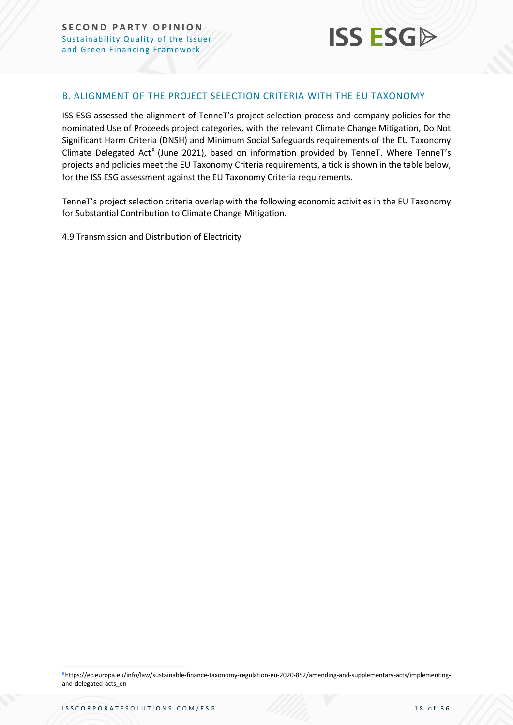

### <span id="page-17-0"></span>B. ALIGNMENT OF THE PROJECT SELECTION CRITERIA WITH THE EU TAXONOMY

ISS ESG assessed the alignment of TenneT's project selection process and company policies for the nominated Use of Proceeds project categories, with the relevant Climate Change Mitigation, Do Not Significant Harm Criteria (DNSH) and Minimum Social Safeguards requirements of the EU Taxonomy Climate Delegated Act<sup>8</sup> (June 2021), based on information provided by TenneT. Where TenneT's projects and policies meet the EU Taxonomy Criteria requirements, a tick is shown in the table below, for the ISS ESG assessment against the EU Taxonomy Criteria requirements.

TenneT's project selection criteria overlap with the following economic activities in the EU Taxonomy for Substantial Contribution to Climate Change Mitigation.

4.9 Transmission and Distribution of Electricity

8https://ec.europa.eu/info/law/sustainable-finance-taxonomy-regulation-eu-2020-852/amending-and-supplementary-acts/implementingand-delegated-acts\_en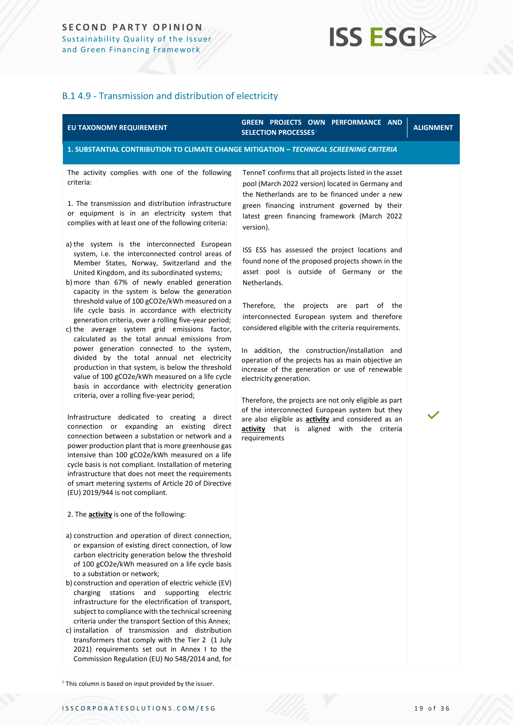### B.1 4.9 - Transmission and distribution of electricity

| EU TAXONOMY REQUIREMENT                                                                                                                                                                                                                                                                                                                                                                                                                                                                                                                                                                                                                                                                                                                                                                                                                                                                                                                                                                                                                                                                                                                                                                                                                                                                                                                                                                                                                                                                                                                                                                                                                                                                                                                                                                                                                                                                                                                                                                                                                                                                                                                                                                                                                                                                                                                                                           | GREEN PROJECTS OWN PERFORMANCE AND<br><b>SELECTION PROCESSES<sup>9</sup></b>                                                                                                                                                                                                                                                                                                                                                                                                                                                                                                                                                                                                                                                                                                                                                                                                                                                                                                                                                    | <b>ALIGNMENT</b> |  |  |  |  |  |  |
|-----------------------------------------------------------------------------------------------------------------------------------------------------------------------------------------------------------------------------------------------------------------------------------------------------------------------------------------------------------------------------------------------------------------------------------------------------------------------------------------------------------------------------------------------------------------------------------------------------------------------------------------------------------------------------------------------------------------------------------------------------------------------------------------------------------------------------------------------------------------------------------------------------------------------------------------------------------------------------------------------------------------------------------------------------------------------------------------------------------------------------------------------------------------------------------------------------------------------------------------------------------------------------------------------------------------------------------------------------------------------------------------------------------------------------------------------------------------------------------------------------------------------------------------------------------------------------------------------------------------------------------------------------------------------------------------------------------------------------------------------------------------------------------------------------------------------------------------------------------------------------------------------------------------------------------------------------------------------------------------------------------------------------------------------------------------------------------------------------------------------------------------------------------------------------------------------------------------------------------------------------------------------------------------------------------------------------------------------------------------------------------|---------------------------------------------------------------------------------------------------------------------------------------------------------------------------------------------------------------------------------------------------------------------------------------------------------------------------------------------------------------------------------------------------------------------------------------------------------------------------------------------------------------------------------------------------------------------------------------------------------------------------------------------------------------------------------------------------------------------------------------------------------------------------------------------------------------------------------------------------------------------------------------------------------------------------------------------------------------------------------------------------------------------------------|------------------|--|--|--|--|--|--|
| 1. SUBSTANTIAL CONTRIBUTION TO CLIMATE CHANGE MITIGATION - TECHNICAL SCREENING CRITERIA                                                                                                                                                                                                                                                                                                                                                                                                                                                                                                                                                                                                                                                                                                                                                                                                                                                                                                                                                                                                                                                                                                                                                                                                                                                                                                                                                                                                                                                                                                                                                                                                                                                                                                                                                                                                                                                                                                                                                                                                                                                                                                                                                                                                                                                                                           |                                                                                                                                                                                                                                                                                                                                                                                                                                                                                                                                                                                                                                                                                                                                                                                                                                                                                                                                                                                                                                 |                  |  |  |  |  |  |  |
| The activity complies with one of the following<br>criteria:<br>1. The transmission and distribution infrastructure<br>or equipment is in an electricity system that<br>complies with at least one of the following criteria:<br>a) the system is the interconnected European<br>system, i.e. the interconnected control areas of<br>Member States, Norway, Switzerland and the<br>United Kingdom, and its subordinated systems;<br>b) more than 67% of newly enabled generation<br>capacity in the system is below the generation<br>threshold value of 100 gCO2e/kWh measured on a<br>life cycle basis in accordance with electricity<br>generation criteria, over a rolling five-year period;<br>c) the average system grid emissions factor,<br>calculated as the total annual emissions from<br>power generation connected to the system,<br>divided by the total annual net electricity<br>production in that system, is below the threshold<br>value of 100 gCO2e/kWh measured on a life cycle<br>basis in accordance with electricity generation<br>criteria, over a rolling five-year period;<br>Infrastructure dedicated to creating a direct<br>connection or expanding an existing direct<br>connection between a substation or network and a<br>power production plant that is more greenhouse gas<br>intensive than 100 gCO2e/kWh measured on a life<br>cycle basis is not compliant. Installation of metering<br>infrastructure that does not meet the requirements<br>of smart metering systems of Article 20 of Directive<br>(EU) 2019/944 is not compliant.<br>2. The <b>activity</b> is one of the following:<br>a) construction and operation of direct connection,<br>or expansion of existing direct connection, of low<br>carbon electricity generation below the threshold<br>of 100 gCO2e/kWh measured on a life cycle basis<br>to a substation or network;<br>b) construction and operation of electric vehicle (EV)<br>stations and supporting<br>charging<br>electric<br>infrastructure for the electrification of transport,<br>subject to compliance with the technical screening<br>criteria under the transport Section of this Annex;<br>c) installation of transmission and distribution<br>transformers that comply with the Tier 2 (1 July<br>2021) requirements set out in Annex I to the<br>Commission Regulation (EU) No 548/2014 and, for | TenneT confirms that all projects listed in the asset<br>pool (March 2022 version) located in Germany and<br>the Netherlands are to be financed under a new<br>green financing instrument governed by their<br>latest green financing framework (March 2022<br>version).<br>ISS ESS has assessed the project locations and<br>found none of the proposed projects shown in the<br>asset pool is outside of Germany or the<br>Netherlands.<br>Therefore, the<br>projects<br>part of the<br>are<br>interconnected European system and therefore<br>considered eligible with the criteria requirements.<br>In addition, the construction/installation and<br>operation of the projects has as main objective an<br>increase of the generation or use of renewable<br>electricity generation.<br>Therefore, the projects are not only eligible as part<br>of the interconnected European system but they<br>are also eligible as <b>activity</b> and considered as an<br>activity that is aligned with the criteria<br>requirements |                  |  |  |  |  |  |  |

<sup>9</sup> This column is based on input provided by the issuer.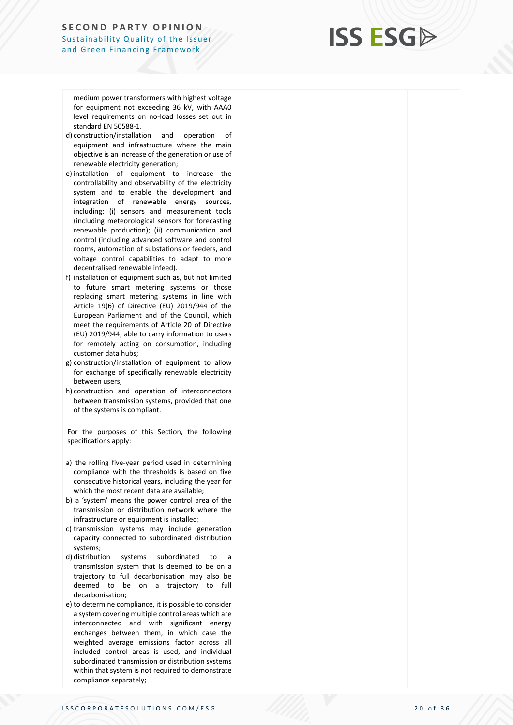## **ISS ESG**

medium power transformers with highest voltage for equipment not exceeding 36 kV, with AAA0 level requirements on no -load losses set out in standard EN 50588 -1.

- d) construction/installation and operation of equipment and infrastructure where the main objective is an increase of the generation or use of renewable electricity generation;
- e) installation of equipment to increase the controllability and observability of the electricity system and to enable the development and integration of renewable energy sources, including: (i) sensors and measurement tools (including meteorological sensors for forecasting renewable production); (ii) communication and control (including advanced software and control rooms, automation of substations or feeders, and voltage control capabilities to adapt to more decentralised renewable infeed).
- f) installation of equipment such as, but not limited to future smart metering systems or those replacing smart metering systems in line with Article 19(6) of Directive (EU) 2019/944 of the European Parliament and of the Council, which meet the requirements of Article 20 of Directive (EU) 2019/944, able to carry information to users for remotely acting on consumption, including customer data hubs;
- g) construction/installation of equipment to allow for exchange of specifically renewable electricity between users;
- h) construction and operation of interconnectors between transmission systems, provided that one of the systems is compliant.

For the purposes of this Section, the following specifications apply:

- a) the rolling five-year period used in determining compliance with the thresholds is based on five consecutive historical years, including the year for which the most recent data are available;
- b) a 'system' means the power control area of the transmission or distribution network where the infrastructure or equipment is installed;
- c) transmission systems may include generation capacity connected to subordinated distribution systems;
- d) distribution systems subordinated to a transmission system that is deemed to be on a trajectory to full decarbonisation may also be deemed to be on a trajectory to full decarbonisation;
- e) to determine compliance, it is possible to consider a system covering multiple control areas which are interconnected and with significant energy exchanges between them, in which case the weighted average emissions factor across all included control areas is used, and individual subordinated transmission or distribution systems within that system is not required to demonstrate compliance separately;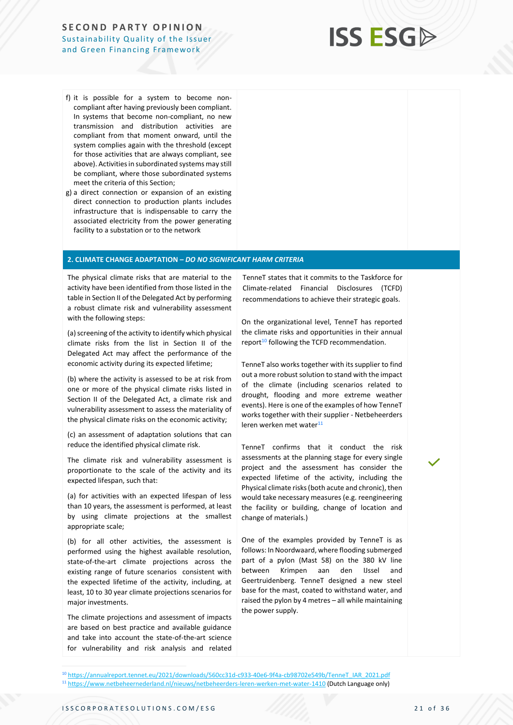

- f) it is possible for a system to become noncompliant after having previously been compliant. In systems that become non-compliant, no new transmission and distribution activities are compliant from that moment onward, until the system complies again with the threshold (except for those activities that are always compliant, see above). Activities in subordinated systems may still be compliant, where those subordinated systems meet the criteria of this Section;
- g) a direct connection or expansion of an existing direct connection to production plants includes infrastructure that is indispensable to carry the associated electricity from the power generating facility to a substation or to the network

#### **2. CLIMATE CHANGE ADAPTATION –** *DO NO SIGNIFICANT HARM CRITERIA*

The physical climate risks that are material to the activity have been identified from those listed in the table in Section II of the Delegated Act by performing a robust climate risk and vulnerability assessment with the following steps:

(a) screening of the activity to identify which physical climate risks from the list in Section II of the Delegated Act may affect the performance of the economic activity during its expected lifetime;

(b) where the activity is assessed to be at risk from one or more of the physical climate risks listed in Section II of the Delegated Act, a climate risk and vulnerability assessment to assess the materiality of the physical climate risks on the economic activity;

(c) an assessment of adaptation solutions that can reduce the identified physical climate risk.

The climate risk and vulnerability assessment is proportionate to the scale of the activity and its expected lifespan, such that:

(a) for activities with an expected lifespan of less than 10 years, the assessment is performed, at least by using climate projections at the smallest appropriate scale;

(b) for all other activities, the assessment is performed using the highest available resolution, state-of-the-art climate projections across the existing range of future scenarios consistent with the expected lifetime of the activity, including, at least, 10 to 30 year climate projections scenarios for major investments.

The climate projections and assessment of impacts are based on best practice and available guidance and take into account the state-of-the-art science for vulnerability and risk analysis and related

TenneT states that it commits to the Taskforce for Climate-related Financial Disclosures (TCFD) recommendations to achieve their strategic goals.

On the organizational level, TenneT has reported the climate risks and opportunities in their annual report<sup>10</sup> following the TCFD recommendation.

TenneT also works together with its supplier to find out a more robust solution to stand with the impact of the climate (including scenarios related to drought, flooding and more extreme weather events). Here is one of the examples of how TenneT works together with their supplier - Netbeheerders leren werken met water<sup>11</sup>

TenneT confirms that it conduct the risk assessments at the planning stage for every single project and the assessment has consider the expected lifetime of the activity, including the Physical climate risks (both acute and chronic), then would take necessary measures (e.g. reengineering the facility or building, change of location and change of materials.)

One of the examples provided by TenneT is as follows: In Noordwaard, where flooding submerged part of a pylon (Mast 58) on the 380 kV line between Krimpen aan den IJssel and Geertruidenberg. TenneT designed a new steel base for the mast, coated to withstand water, and raised the pylon by 4 metres – all while maintaining the power supply.

<sup>10</sup> [https://annualreport.tennet.eu/2021/downloads/560cc31d-c933-40e6-9f4a-cb98702e549b/TenneT\\_IAR\\_2021.pdf](https://annualreport.tennet.eu/2021/downloads/560cc31d-c933-40e6-9f4a-cb98702e549b/TenneT_IAR_2021.pdf)

<sup>11</sup> <https://www.netbeheernederland.nl/nieuws/netbeheerders-leren-werken-met-water-1410> (Dutch Language only)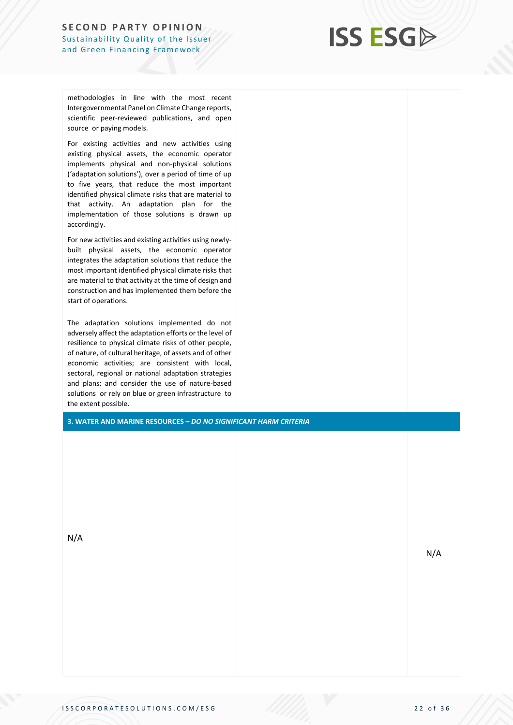

methodologies in line with the most recent Intergovernmental Panel on Climate Change reports, scientific peer-reviewed publications, and open source or paying models.

For existing activities and new activities using existing physical assets, the economic operator implements physical and non-physical solutions ('adaptation solutions'), over a period of time of up to five years, that reduce the most important identified physical climate risks that are material to that activity. An adaptation plan for the implementation of those solutions is drawn up accordingly.

For new activities and existing activities using newlybuilt physical assets, the economic operator integrates the adaptation solutions that reduce the most important identified physical climate risks that are material to that activity at the time of design and construction and has implemented them before the start of operations.

The adaptation solutions implemented do not adversely affect the adaptation efforts or the level of resilience to physical climate risks of other people, of nature, of cultural heritage, of assets and of other economic activities; are consistent with local, sectoral, regional or national adaptation strategies and plans; and consider the use of nature-based solutions or rely on blue or green infrastructure to the extent possible.

**3. WATER AND MARINE RESOURCES –** *DO NO SIGNIFICANT HARM CRITERIA*

N/A

N/A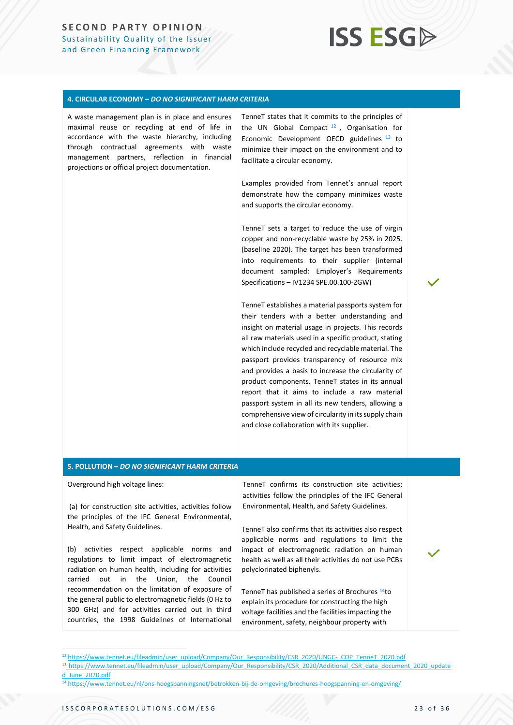## **ISS ESG**

#### **4. CIRCULAR ECONOMY –** *DO NO SIGNIFICANT HARM CRITERIA*

A waste management plan is in place and ensures maximal reuse or recycling at end of life in accordance with the waste hierarchy, including through contractual agreements with waste management partners, reflection in financial projections or official project documentation.

TenneT states that it commits to the principles of the UN Global Compact <sup>12</sup> , Organisation for Economic Development OECD guidelines <sup>13</sup> to minimize their impact on the environment and to facilitate a circular economy.

Examples provided from Tennet's annual report demonstrate how the company minimizes waste and supports the circular economy.

TenneT sets a target to reduce the use of virgin copper and non-recyclable waste by 25% in 2025. (baseline 2020). The target has been transformed into requirements to their supplier (internal document sampled: Employer's Requirements Specifications – IV1234 SPE.00.100-2GW)

TenneT establishes a material passports system for their tenders with a better understanding and insight on material usage in projects. This records all raw materials used in a specific product, stating which include recycled and recyclable material. The passport provides transparency of resource mix and provides a basis to increase the circularity of product components. TenneT states in its annual report that it aims to include a raw material passport system in all its new tenders, allowing a comprehensive view of circularity in its supply chain and close collaboration with its supplier.

#### **5. POLLUTION –** *DO NO SIGNIFICANT HARM CRITERIA*

Overground high voltage lines:

(a) for construction site activities, activities follow the principles of the IFC General Environmental, Health, and Safety Guidelines.

(b) activities respect applicable norms and regulations to limit impact of electromagnetic radiation on human health, including for activities carried out in the Union, the Council recommendation on the limitation of exposure of the general public to electromagnetic fields (0 Hz to 300 GHz) and for activities carried out in third countries, the 1998 Guidelines of International TenneT confirms its construction site activities; activities follow the principles of the IFC General Environmental, Health, and Safety Guidelines.

TenneT also confirms that its activities also respect applicable norms and regulations to limit the impact of electromagnetic radiation on human health as well as all their activities do not use PCBs polyclorinated biphenyls.

TenneT has published a series of Brochures <sup>14</sup>to explain its procedure for constructing the high voltage facilities and the facilities impacting the environment, safety, neighbour property with

<sup>12</sup> [https://www.tennet.eu/fileadmin/user\\_upload/Company/Our\\_Responsibility/CSR\\_2020/UNGC-\\_COP\\_TenneT\\_2020.pdf](https://www.tennet.eu/fileadmin/user_upload/Company/Our_Responsibility/CSR_2020/UNGC-_COP_TenneT_2020.pdf)

<sup>13</sup> [https://www.tennet.eu/fileadmin/user\\_upload/Company/Our\\_Responsibility/CSR\\_2020/Additional\\_CSR\\_data\\_document\\_2020\\_update](https://www.tennet.eu/fileadmin/user_upload/Company/Our_Responsibility/CSR_2020/Additional_CSR_data_document_2020_updated_June_2020.pdf) [d\\_June\\_2020.pdf](https://www.tennet.eu/fileadmin/user_upload/Company/Our_Responsibility/CSR_2020/Additional_CSR_data_document_2020_updated_June_2020.pdf)

<sup>14</sup> <https://www.tennet.eu/nl/ons-hoogspanningsnet/betrokken-bij-de-omgeving/brochures-hoogspanning-en-omgeving/>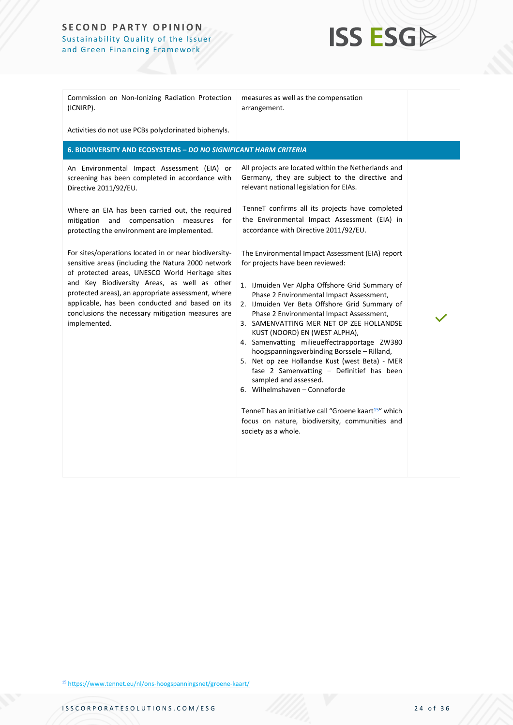

| Commission on Non-Ionizing Radiation Protection<br>(ICNIRP).                                                                                                                                                                                                                                                                                                                                 | measures as well as the compensation<br>arrangement.                                                                                                                                                                                                                                                                                                                                                                                                                                                                                                                                                                                                                                                                                                              |  |
|----------------------------------------------------------------------------------------------------------------------------------------------------------------------------------------------------------------------------------------------------------------------------------------------------------------------------------------------------------------------------------------------|-------------------------------------------------------------------------------------------------------------------------------------------------------------------------------------------------------------------------------------------------------------------------------------------------------------------------------------------------------------------------------------------------------------------------------------------------------------------------------------------------------------------------------------------------------------------------------------------------------------------------------------------------------------------------------------------------------------------------------------------------------------------|--|
| Activities do not use PCBs polyclorinated biphenyls.                                                                                                                                                                                                                                                                                                                                         |                                                                                                                                                                                                                                                                                                                                                                                                                                                                                                                                                                                                                                                                                                                                                                   |  |
| 6. BIODIVERSITY AND ECOSYSTEMS - DO NO SIGNIFICANT HARM CRITERIA                                                                                                                                                                                                                                                                                                                             |                                                                                                                                                                                                                                                                                                                                                                                                                                                                                                                                                                                                                                                                                                                                                                   |  |
| An Environmental Impact Assessment (EIA) or<br>screening has been completed in accordance with<br>Directive 2011/92/EU.                                                                                                                                                                                                                                                                      | All projects are located within the Netherlands and<br>Germany, they are subject to the directive and<br>relevant national legislation for EIAs.                                                                                                                                                                                                                                                                                                                                                                                                                                                                                                                                                                                                                  |  |
| Where an EIA has been carried out, the required<br>and compensation measures<br>mitigation<br>for<br>protecting the environment are implemented.                                                                                                                                                                                                                                             | TenneT confirms all its projects have completed<br>the Environmental Impact Assessment (EIA) in<br>accordance with Directive 2011/92/EU.                                                                                                                                                                                                                                                                                                                                                                                                                                                                                                                                                                                                                          |  |
| For sites/operations located in or near biodiversity-<br>sensitive areas (including the Natura 2000 network<br>of protected areas, UNESCO World Heritage sites<br>and Key Biodiversity Areas, as well as other<br>protected areas), an appropriate assessment, where<br>applicable, has been conducted and based on its<br>conclusions the necessary mitigation measures are<br>implemented. | The Environmental Impact Assessment (EIA) report<br>for projects have been reviewed:<br>1. IJmuiden Ver Alpha Offshore Grid Summary of<br>Phase 2 Environmental Impact Assessment,<br>2. IJmuiden Ver Beta Offshore Grid Summary of<br>Phase 2 Environmental Impact Assessment,<br>3. SAMENVATTING MER NET OP ZEE HOLLANDSE<br>KUST (NOORD) EN (WEST ALPHA),<br>4. Samenvatting milieueffectrapportage ZW380<br>hoogspanningsverbinding Borssele - Rilland,<br>5. Net op zee Hollandse Kust (west Beta) - MER<br>fase 2 Samenvatting - Definitief has been<br>sampled and assessed.<br>6. Wilhelmshaven - Conneforde<br>TenneT has an initiative call "Groene kaart <sup>15"</sup> which<br>focus on nature, biodiversity, communities and<br>society as a whole. |  |

<sup>15</sup> <https://www.tennet.eu/nl/ons-hoogspanningsnet/groene-kaart/>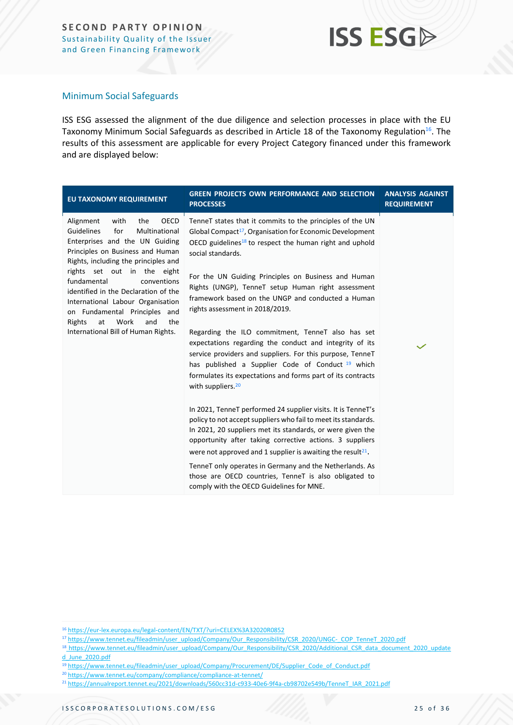### Minimum Social Safeguards

ISS ESG assessed the alignment of the due diligence and selection processes in place with the EU Taxonomy Minimum Social Safeguards as described in Article 18 of the Taxonomy Regulation<sup>16</sup>. The results of this assessment are applicable for every Project Category financed under this framework and are displayed below:

| <b>EU TAXONOMY REQUIREMENT</b>                                                                                                                                                                                                                                                                                                                                                                                                               | <b>GREEN PROJECTS OWN PERFORMANCE AND SELECTION</b><br><b>PROCESSES</b>                                                                                                                                                                                                                                                                                                                                                                                                                                                                                                                                                                                                                                                             | <b>ANALYSIS AGAINST</b><br><b>REQUIREMENT</b> |
|----------------------------------------------------------------------------------------------------------------------------------------------------------------------------------------------------------------------------------------------------------------------------------------------------------------------------------------------------------------------------------------------------------------------------------------------|-------------------------------------------------------------------------------------------------------------------------------------------------------------------------------------------------------------------------------------------------------------------------------------------------------------------------------------------------------------------------------------------------------------------------------------------------------------------------------------------------------------------------------------------------------------------------------------------------------------------------------------------------------------------------------------------------------------------------------------|-----------------------------------------------|
| OECD<br>with<br>the<br>Alignment<br>Guidelines<br>for<br>Multinational<br>Enterprises and the UN Guiding<br>Principles on Business and Human<br>Rights, including the principles and<br>rights set out in the eight<br>fundamental<br>conventions<br>identified in the Declaration of the<br>International Labour Organisation<br>on Fundamental Principles and<br>Work<br>and<br>the<br>Rights<br>at<br>International Bill of Human Rights. | TenneT states that it commits to the principles of the UN<br>Global Compact <sup>17</sup> , Organisation for Economic Development<br>OECD guidelines <sup>18</sup> to respect the human right and uphold<br>social standards.<br>For the UN Guiding Principles on Business and Human<br>Rights (UNGP), TenneT setup Human right assessment<br>framework based on the UNGP and conducted a Human<br>rights assessment in 2018/2019.<br>Regarding the ILO commitment, TenneT also has set<br>expectations regarding the conduct and integrity of its<br>service providers and suppliers. For this purpose, TenneT<br>has published a Supplier Code of Conduct 19 which<br>formulates its expectations and forms part of its contracts |                                               |
|                                                                                                                                                                                                                                                                                                                                                                                                                                              | with suppliers. <sup>20</sup><br>In 2021, TenneT performed 24 supplier visits. It is TenneT's<br>policy to not accept suppliers who fail to meet its standards.<br>In 2021, 20 suppliers met its standards, or were given the<br>opportunity after taking corrective actions. 3 suppliers<br>were not approved and 1 supplier is awaiting the result <sup>21</sup> .<br>TenneT only operates in Germany and the Netherlands. As<br>those are OECD countries, TenneT is also obligated to<br>comply with the OECD Guidelines for MNE.                                                                                                                                                                                                |                                               |

<sup>16</sup> <https://eur-lex.europa.eu/legal-content/EN/TXT/?uri=CELEX%3A32020R0852>

<sup>17</sup> [https://www.tennet.eu/fileadmin/user\\_upload/Company/Our\\_Responsibility/CSR\\_2020/UNGC-\\_COP\\_TenneT\\_2020.pdf](https://www.tennet.eu/fileadmin/user_upload/Company/Our_Responsibility/CSR_2020/UNGC-_COP_TenneT_2020.pdf)

<sup>18</sup> [https://www.tennet.eu/fileadmin/user\\_upload/Company/Our\\_Responsibility/CSR\\_2020/Additional\\_CSR\\_data\\_document\\_2020\\_update](https://www.tennet.eu/fileadmin/user_upload/Company/Our_Responsibility/CSR_2020/Additional_CSR_data_document_2020_updated_June_2020.pdf) [d\\_June\\_2020.pdf](https://www.tennet.eu/fileadmin/user_upload/Company/Our_Responsibility/CSR_2020/Additional_CSR_data_document_2020_updated_June_2020.pdf)

<sup>&</sup>lt;sup>19</sup> [https://www.tennet.eu/fileadmin/user\\_upload/Company/Procurement/DE/Supplier\\_Code\\_of\\_Conduct.pdf](https://www.tennet.eu/fileadmin/user_upload/Company/Procurement/DE/Supplier_Code_of_Conduct.pdf)

<sup>20</sup> <https://www.tennet.eu/company/compliance/compliance-at-tennet/>

<sup>21</sup> [https://annualreport.tennet.eu/2021/downloads/560cc31d-c933-40e6-9f4a-cb98702e549b/TenneT\\_IAR\\_2021.pdf](https://annualreport.tennet.eu/2021/downloads/560cc31d-c933-40e6-9f4a-cb98702e549b/TenneT_IAR_2021.pdf)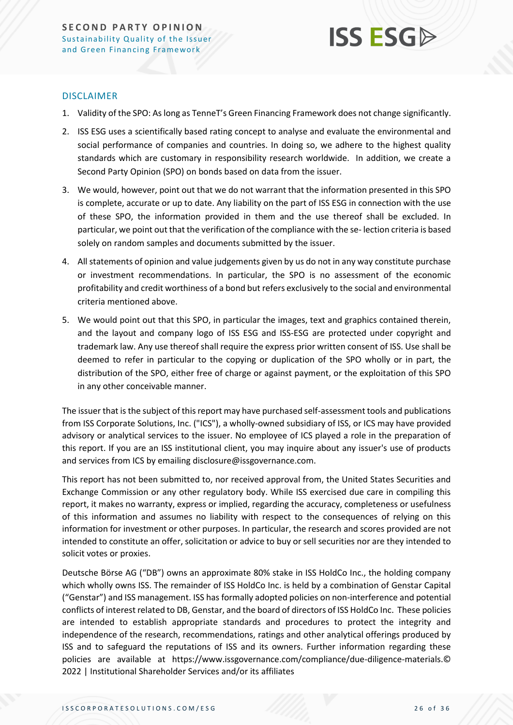

### DISCLAIMER

- 1. Validity of the SPO: As long as TenneT's Green Financing Framework does not change significantly.
- 2. ISS ESG uses a scientifically based rating concept to analyse and evaluate the environmental and social performance of companies and countries. In doing so, we adhere to the highest quality standards which are customary in responsibility research worldwide. In addition, we create a Second Party Opinion (SPO) on bonds based on data from the issuer.
- 3. We would, however, point out that we do not warrant that the information presented in this SPO is complete, accurate or up to date. Any liability on the part of ISS ESG in connection with the use of these SPO, the information provided in them and the use thereof shall be excluded. In particular, we point out that the verification of the compliance with the se- lection criteria is based solely on random samples and documents submitted by the issuer.
- 4. All statements of opinion and value judgements given by us do not in any way constitute purchase or investment recommendations. In particular, the SPO is no assessment of the economic profitability and credit worthiness of a bond but refers exclusively to the social and environmental criteria mentioned above.
- 5. We would point out that this SPO, in particular the images, text and graphics contained therein, and the layout and company logo of ISS ESG and ISS-ESG are protected under copyright and trademark law. Any use thereof shall require the express prior written consent of ISS. Use shall be deemed to refer in particular to the copying or duplication of the SPO wholly or in part, the distribution of the SPO, either free of charge or against payment, or the exploitation of this SPO in any other conceivable manner.

The issuer that is the subject of this report may have purchased self-assessment tools and publications from ISS Corporate Solutions, Inc. ("ICS"), a wholly-owned subsidiary of ISS, or ICS may have provided advisory or analytical services to the issuer. No employee of ICS played a role in the preparation of this report. If you are an ISS institutional client, you may inquire about any issuer's use of products and services from ICS by emailing disclosure@issgovernance.com.

This report has not been submitted to, nor received approval from, the United States Securities and Exchange Commission or any other regulatory body. While ISS exercised due care in compiling this report, it makes no warranty, express or implied, regarding the accuracy, completeness or usefulness of this information and assumes no liability with respect to the consequences of relying on this information for investment or other purposes. In particular, the research and scores provided are not intended to constitute an offer, solicitation or advice to buy or sell securities nor are they intended to solicit votes or proxies.

Deutsche Börse AG ("DB") owns an approximate 80% stake in ISS HoldCo Inc., the holding company which wholly owns ISS. The remainder of ISS HoldCo Inc. is held by a combination of Genstar Capital ("Genstar") and ISS management. ISS has formally adopted policies on non-interference and potential conflicts of interest related to DB, Genstar, and the board of directors of ISS HoldCo Inc. These policies are intended to establish appropriate standards and procedures to protect the integrity and independence of the research, recommendations, ratings and other analytical offerings produced by ISS and to safeguard the reputations of ISS and its owners. Further information regarding these policies are available at https://www.issgovernance.com/compliance/due-diligence-materials.© 2022 | Institutional Shareholder Services and/or its affiliates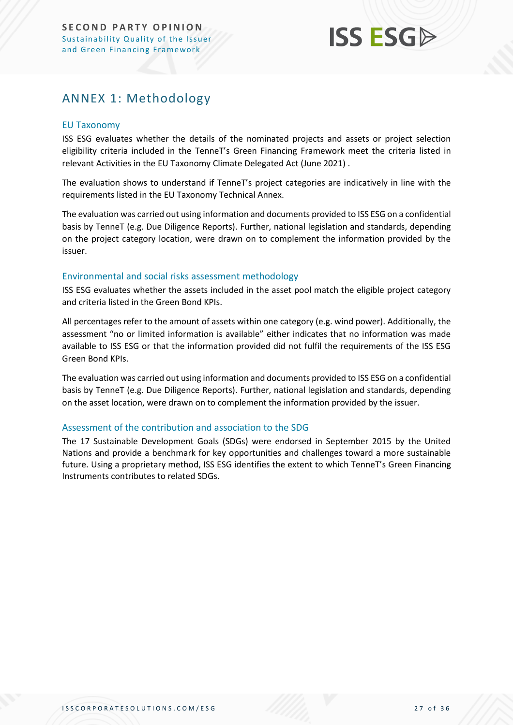### <span id="page-26-0"></span>ANNEX 1: Methodology

### EU Taxonomy

ISS ESG evaluates whether the details of the nominated projects and assets or project selection eligibility criteria included in the TenneT's Green Financing Framework meet the criteria listed in relevant Activities in the EU Taxonomy Climate Delegated Act (June 2021) .

The evaluation shows to understand if TenneT's project categories are indicatively in line with the requirements listed in the EU Taxonomy Technical Annex.

The evaluation was carried out using information and documents provided to ISS ESG on a confidential basis by TenneT (e.g. Due Diligence Reports). Further, national legislation and standards, depending on the project category location, were drawn on to complement the information provided by the issuer.

### Environmental and social risks assessment methodology

ISS ESG evaluates whether the assets included in the asset pool match the eligible project category and criteria listed in the Green Bond KPIs.

All percentages refer to the amount of assets within one category (e.g. wind power). Additionally, the assessment "no or limited information is available" either indicates that no information was made available to ISS ESG or that the information provided did not fulfil the requirements of the ISS ESG Green Bond KPIs.

The evaluation was carried out using information and documents provided to ISS ESG on a confidential basis by TenneT (e.g. Due Diligence Reports). Further, national legislation and standards, depending on the asset location, were drawn on to complement the information provided by the issuer.

### Assessment of the contribution and association to the SDG

The 17 Sustainable Development Goals (SDGs) were endorsed in September 2015 by the United Nations and provide a benchmark for key opportunities and challenges toward a more sustainable future. Using a proprietary method, ISS ESG identifies the extent to which TenneT's Green Financing Instruments contributes to related SDGs.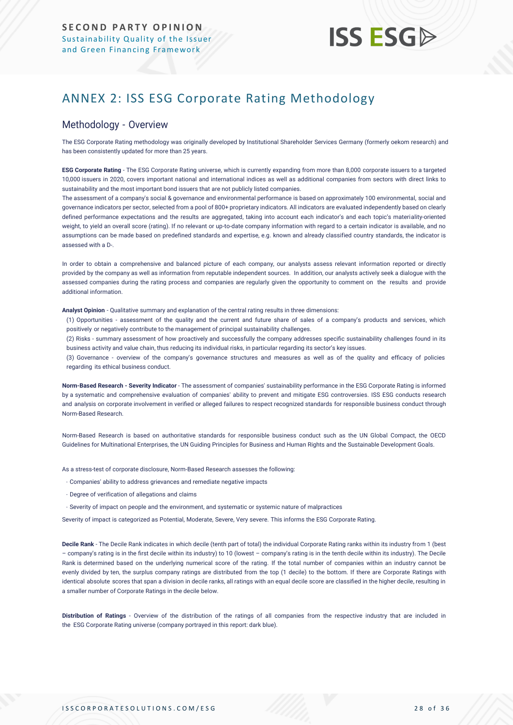### <span id="page-27-0"></span>ANNEX 2: ISS ESG Corporate Rating Methodology

### Methodology - Overview

The ESG Corporate Rating methodology was originally developed by Institutional Shareholder Services Germany (formerly oekom research) and has been consistently updated for more than 25 years.

**ESG Corporate Rating** - The ESG Corporate Rating universe, which is currently expanding from more than 8,000 corporate issuers to a targeted 10,000 issuers in 2020, covers important national and international indices as well as additional companies from sectors with direct links to sustainability and the most important bond issuers that are not publicly listed companies.

The assessment of a company's social & governance and environmental performance is based on approximately 100 environmental, social and governance indicators per sector, selected from a pool of 800+ proprietary indicators. All indicators are evaluated independently based on clearly defined performance expectations and the results are aggregated, taking into account each indicator's and each topic's materiality-oriented weight, to yield an overall score (rating). If no relevant or up-to-date company information with regard to a certain indicator is available, and no assumptions can be made based on predefined standards and expertise, e.g. known and already classified country standards, the indicator is assessed with a D-.

In order to obtain a comprehensive and balanced picture of each company, our analysts assess relevant information reported or directly provided by the company as well as information from reputable independent sources. In addition, our analysts actively seek a dialogue with the assessed companies during the rating process and companies are regularly given the opportunity to comment on the results and provide additional information.

**Analyst Opinion** - Qualitative summary and explanation of the central rating results in three dimensions:

(1) Opportunities - assessment of the quality and the current and future share of sales of a company's products and services, which positively or negatively contribute to the management of principal sustainability challenges.

(2) Risks - summary assessment of how proactively and successfully the company addresses specific sustainability challenges found in its business activity and value chain, thus reducing its individual risks, in particular regarding its sector's key issues.

(3) Governance - overview of the company's governance structures and measures as well as of the quality and efficacy of policies regarding its ethical business conduct.

**Norm-Based Research - Severity Indicator** - The assessment of companies' sustainability performance in the ESG Corporate Rating is informed by a systematic and comprehensive evaluation of companies' ability to prevent and mitigate ESG controversies. ISS ESG conducts research and analysis [on corporate involvement in verified or alleged failures to respect recognized standards](https://www.issgovernance.com/esg/screening/esg-screening-solutions/#nbr_techdoc_download) for responsible business conduct through [Norm-Based](https://www.issgovernance.com/esg/screening/esg-screening-solutions/#nbr_techdoc_download) Research.

Norm-Based Research is based on authoritative standards for responsible business conduct such as the UN Global Compact, the OECD Guidelines for Multinational Enterprises, the UN Guiding Principles for Business and Human Rights and the Sustainable Development Goals.

As a stress-test of corporate disclosure, Norm-Based Research assesses the following:

- Companies' ability to address grievances and remediate negative impacts
- Degree of verification of allegations and claims
- Severity of impact on people and the environment, and systematic or systemic nature of malpractices

Severity of impact is categorized as Potential, Moderate, Severe, Very severe. This informs the ESG Corporate Rating.

**Decile Rank** - The Decile Rank indicates in which decile (tenth part of total) the individual Corporate Rating ranks within its industry from 1 (best – company's rating is in the first decile within its industry) to 10 (lowest – company's rating is in the tenth decile within its industry). The Decile Rank is determined based on the underlying numerical score of the rating. If the total number of companies within an industry cannot be evenly divided by ten, the surplus company ratings are distributed from the top (1 decile) to the bottom. If there are Corporate Ratings with identical absolute scores that span a division in decile ranks, all ratings with an equal decile score are classified in the higher decile, resulting in a smaller number of Corporate Ratings in the decile below.

**Distribution of Ratings** - Overview of the distribution of the ratings of all companies from the respective industry that are included in the ESG Corporate Rating universe (company portrayed in this report: dark blue).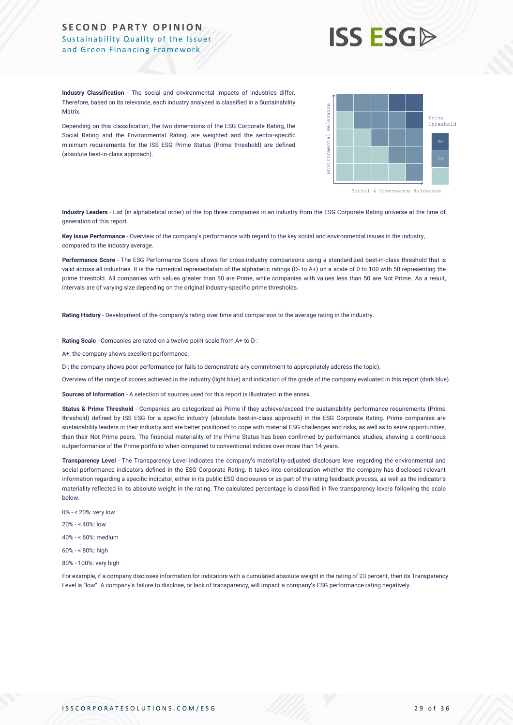## **ISS ESG**

**Industry Classification** - The social and environmental impacts of industries differ. Therefore, based on its relevance, each industry analyzed is classified in a Sustainability **Matrix** 

Depending on this classification, the two dimensions of the ESG Corporate Rating, the Social Rating and the Environmental Rating, are weighted and the sector-specific minimum requirements for the ISS ESG Prime Status (Prime threshold) are defined (absolute best-in-class approach).



**Industry Leaders** - List (in alphabetical order) of the top three companies in an industry from the ESG Corporate Rating universe at the time of generation of this report.

**Key Issue Performance** - Overview of the company's performance with regard to the key social and environmental issues in the industry, compared to the industry average.

**Performance Score** - The ESG Performance Score allows for cross-industry comparisons using a standardized best-in-class threshold that is valid across all industries. It is the numerical representation of the alphabetic ratings (D- to A+) on a scale of 0 to 100 with 50 representing the prime threshold. All companies with values greater than 50 are Prime, while companies with values less than 50 are Not Prime. As a result, intervals are of varying size depending on the original industry-specific prime thresholds.

**Rating History** - Development of the company's rating over time and comparison to the average rating in the industry.

**Rating Scale** - Companies are rated on a twelve-point scale from A+ to D-:

A+: the company shows excellent performance.

D-: the company shows poor performance (or fails to demonstrate any commitment to appropriately address the topic).

Overview of the range of scores achieved in the industry (light blue) and indication of the grade of the company evaluated in this report (dark blue).

**Sources of Information** - A selection of sources used for this report is illustrated in the annex.

Status & Prime Threshold - Companies are categorized as Prime if they achieve/exceed the sustainability performance requirements (Prime threshold) defined by ISS ESG for a specific industry (absolute best-in-class approach) in the ESG Corporate Rating. Prime companies are sustainability leaders in their industry and are better positioned to cope with material ESG challenges and risks, as well as to seize opportunities, than their Not Prime peers. The financial materiality of the Prime Status has been confirmed by performance studies, showing a continuous outperformance of the Prime portfolio when compared to conventional indices over more than 14 years. Metric. The interaction of the material company's failure to disclose the second of the second of transparence or lack of transparence or lack of the second or lack of the second or lack of the second or lack of the second

**Transparency Level** - The Transparency Level indicates the company's materiality-adjusted disclosure level regarding the environmental and social performance indicators defined in the ESG Corporate Rating. It takes into consideration whether the company has disclosed relevant information regarding a specific indicator, either in its public ESG disclosures or as part of the rating feedback process, as well as the indicator's materiality reflected in its absolute weight in the rating. The calculated percentage is classified in five transparency levels following the scale below.

- 0% < 20%: very low
- 20% < 40%: low
- 40% < 60%: medium
- 60% < 80%: high
- 80% 100%: very high

For example, if a company discloses information for indicators with a cumulated absolute weight in the rating of 23 percent, then its Transparency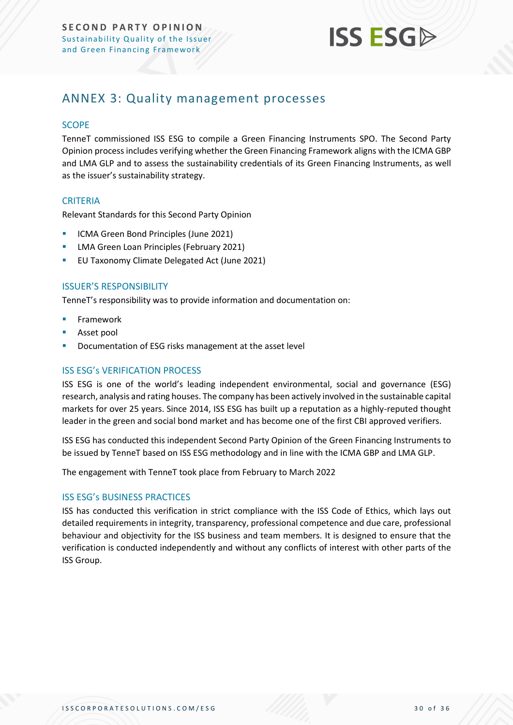

### <span id="page-29-0"></span>ANNEX 3: Quality management processes

### **SCOPE**

TenneT commissioned ISS ESG to compile a Green Financing Instruments SPO. The Second Party Opinion process includes verifying whether the Green Financing Framework aligns with the ICMA GBP and LMA GLP and to assess the sustainability credentials of its Green Financing Instruments, as well as the issuer's sustainability strategy.

### **CRITERIA**

Relevant Standards for this Second Party Opinion

- **ICMA Green Bond Principles (June 2021)**
- **E** LMA Green Loan Principles (February 2021)
- EU Taxonomy Climate Delegated Act (June 2021)

### ISSUER'S RESPONSIBILITY

TenneT's responsibility was to provide information and documentation on:

- **Framework**
- Asset pool
- Documentation of ESG risks management at the asset level

### ISS ESG's VERIFICATION PROCESS

ISS ESG is one of the world's leading independent environmental, social and governance (ESG) research, analysis and rating houses. The company has been actively involved in the sustainable capital markets for over 25 years. Since 2014, ISS ESG has built up a reputation as a highly-reputed thought leader in the green and social bond market and has become one of the first CBI approved verifiers.

ISS ESG has conducted this independent Second Party Opinion of the Green Financing Instruments to be issued by TenneT based on ISS ESG methodology and in line with the ICMA GBP and LMA GLP.

The engagement with TenneT took place from February to March 2022

### ISS ESG's BUSINESS PRACTICES

ISS has conducted this verification in strict compliance with the ISS Code of Ethics, which lays out detailed requirements in integrity, transparency, professional competence and due care, professional behaviour and objectivity for the ISS business and team members. It is designed to ensure that the verification is conducted independently and without any conflicts of interest with other parts of the ISS Group.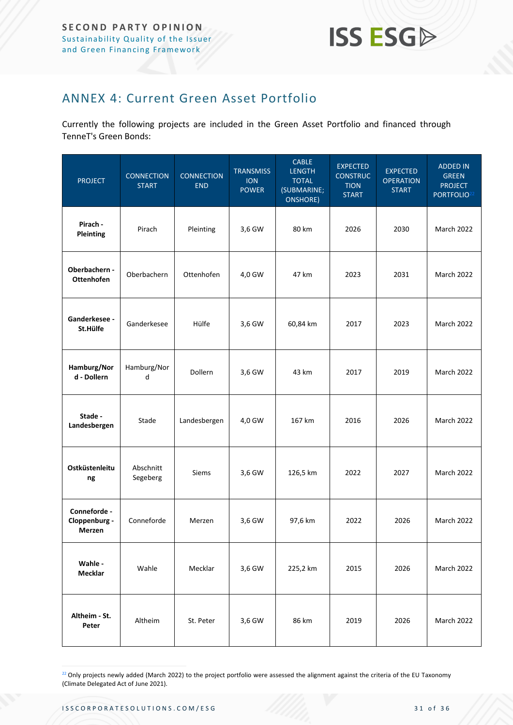

### <span id="page-30-0"></span>ANNEX 4: Current Green Asset Portfolio

Currently the following projects are included in the Green Asset Portfolio and financed through TenneT's Green Bonds:

| <b>PROJECT</b>                          | <b>CONNECTION</b><br><b>START</b> | <b>CONNECTION</b><br><b>END</b> | <b>TRANSMISS</b><br><b>ION</b><br><b>POWER</b> | <b>CABLE</b><br><b>LENGTH</b><br><b>TOTAL</b><br>(SUBMARINE;<br>ONSHORE) | <b>EXPECTED</b><br><b>CONSTRUC</b><br><b>TION</b><br><b>START</b> | <b>EXPECTED</b><br><b>OPERATION</b><br><b>START</b> | <b>ADDED IN</b><br><b>GREEN</b><br><b>PROJECT</b><br>PORTFOLIO <sup>22</sup> |
|-----------------------------------------|-----------------------------------|---------------------------------|------------------------------------------------|--------------------------------------------------------------------------|-------------------------------------------------------------------|-----------------------------------------------------|------------------------------------------------------------------------------|
| Pirach -<br>Pleinting                   | Pirach                            | Pleinting                       | 3,6 GW                                         | 80 km                                                                    | 2026                                                              | 2030                                                | March 2022                                                                   |
| Oberbachern -<br><b>Ottenhofen</b>      | Oberbachern                       | Ottenhofen                      | 4,0 GW                                         | 47 km                                                                    | 2023                                                              | 2031                                                | <b>March 2022</b>                                                            |
| Ganderkesee -<br>St.Hülfe               | Ganderkesee                       | Hülfe                           | 3,6 GW                                         | 60,84 km                                                                 | 2017                                                              | 2023                                                | <b>March 2022</b>                                                            |
| Hamburg/Nor<br>d - Dollern              | Hamburg/Nor<br>d                  | <b>Dollern</b>                  | 3,6 GW                                         | 43 km                                                                    | 2017                                                              | 2019                                                | March 2022                                                                   |
| Stade -<br>Landesbergen                 | Stade                             | Landesbergen                    | 4,0 GW                                         | 167 km                                                                   | 2016                                                              | 2026                                                | March 2022                                                                   |
| Ostküstenleitu<br>ng                    | Abschnitt<br>Segeberg             | Siems                           | 3,6 GW                                         | 126,5 km                                                                 | 2022                                                              | 2027                                                | March 2022                                                                   |
| Conneforde -<br>Cloppenburg -<br>Merzen | Conneforde                        | Merzen                          | 3,6 GW                                         | 97,6 km                                                                  | 2022                                                              | 2026                                                | March 2022                                                                   |
| Wahle -<br><b>Mecklar</b>               | Wahle                             | Mecklar                         | 3,6 GW                                         | 225,2 km                                                                 | 2015                                                              | 2026                                                | March 2022                                                                   |
| Altheim - St.<br>Peter                  | Altheim                           | St. Peter                       | 3,6 GW                                         | 86 km                                                                    | 2019                                                              | 2026                                                | March 2022                                                                   |

 $22$  Only projects newly added (March 2022) to the project portfolio were assessed the alignment against the criteria of the EU Taxonomy (Climate Delegated Act of June 2021).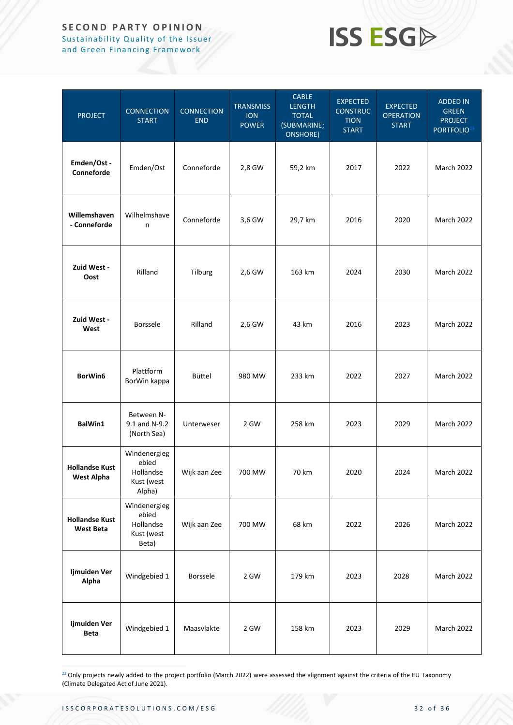### **SECOND PARTY OPINION** Sustainability Quality of the Issuer

and Green Financing Framework

## **ISS ESG**

| <b>PROJECT</b>                             | <b>CONNECTION</b><br><b>START</b>                          | <b>CONNECTION</b><br><b>END</b> | <b>TRANSMISS</b><br><b>ION</b><br><b>POWER</b> | <b>CABLE</b><br><b>LENGTH</b><br><b>TOTAL</b><br>(SUBMARINE;<br>ONSHORE) | <b>EXPECTED</b><br><b>CONSTRUC</b><br><b>TION</b><br><b>START</b> | <b>EXPECTED</b><br><b>OPERATION</b><br><b>START</b> | <b>ADDED IN</b><br><b>GREEN</b><br><b>PROJECT</b><br>PORTFOLIO <sup>23</sup> |
|--------------------------------------------|------------------------------------------------------------|---------------------------------|------------------------------------------------|--------------------------------------------------------------------------|-------------------------------------------------------------------|-----------------------------------------------------|------------------------------------------------------------------------------|
| Emden/Ost -<br>Conneforde                  | Emden/Ost                                                  | Conneforde                      | 2,8 GW                                         | 59,2 km                                                                  | 2017                                                              | 2022                                                | March 2022                                                                   |
| Willemshaven<br>- Conneforde               | Wilhelmshave<br>n                                          | Conneforde                      | 3,6 GW                                         | 29,7 km                                                                  | 2016                                                              | 2020                                                | March 2022                                                                   |
| Zuid West -<br>Oost                        | Rilland                                                    | Tilburg                         | 2,6 GW                                         | 163 km                                                                   | 2024                                                              | 2030                                                | March 2022                                                                   |
| Zuid West -<br>West                        | Borssele                                                   | Rilland                         | 2,6 GW                                         | 43 km                                                                    | 2016                                                              | 2023                                                | March 2022                                                                   |
| BorWin6                                    | Plattform<br>BorWin kappa                                  | Büttel                          | 980 MW                                         | 233 km                                                                   | 2022                                                              | 2027                                                | March 2022                                                                   |
| BalWin1                                    | Between N-<br>9.1 and N-9.2<br>(North Sea)                 | Unterweser                      | 2 GW                                           | 258 km                                                                   | 2023                                                              | 2029                                                | March 2022                                                                   |
| <b>Hollandse Kust</b><br><b>West Alpha</b> | Windenergieg<br>ebied<br>Hollandse<br>Kust (west<br>Alpha) | Wijk aan Zee                    | 700 MW                                         | 70 km                                                                    | 2020                                                              | 2024                                                | March 2022                                                                   |
| <b>Hollandse Kust</b><br><b>West Beta</b>  | Windenergieg<br>ebied<br>Hollandse<br>Kust (west<br>Beta)  | Wijk aan Zee                    | 700 MW                                         | 68 km                                                                    | 2022                                                              | 2026                                                | <b>March 2022</b>                                                            |
| Ijmuiden Ver<br>Alpha                      | Windgebied 1                                               | <b>Borssele</b>                 | 2 GW                                           | 179 km                                                                   | 2023                                                              | 2028                                                | March 2022                                                                   |
| Ijmuiden Ver<br>Beta                       | Windgebied 1                                               | Maasvlakte                      | 2 GW                                           | 158 km                                                                   | 2023                                                              | 2029                                                | March 2022                                                                   |

<sup>23</sup> Only projects newly added to the project portfolio (March 2022) were assessed the alignment against the criteria of the EU Taxonomy (Climate Delegated Act of June 2021).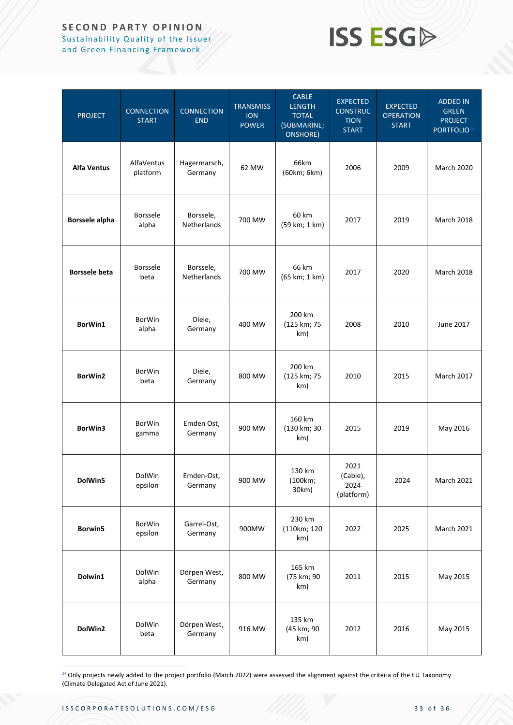### **SECOND PARTY OPINION** Sustainability Quality of the Issuer

and Green Financing Framework

## **ISS ESG**

| <b>PROJECT</b>        | <b>CONNECTION</b><br><b>START</b> | <b>CONNECTION</b><br><b>END</b> | <b>TRANSMISS</b><br><b>ION</b><br><b>POWER</b> | <b>CABLE</b><br><b>LENGTH</b><br><b>TOTAL</b><br>(SUBMARINE;<br><b>ONSHORE)</b> | <b>EXPECTED</b><br><b>CONSTRUC</b><br><b>TION</b><br><b>START</b> | <b>EXPECTED</b><br><b>OPERATION</b><br><b>START</b> | <b>ADDED IN</b><br><b>GREEN</b><br><b>PROJECT</b><br>PORTFOLIO <sup>24</sup> |
|-----------------------|-----------------------------------|---------------------------------|------------------------------------------------|---------------------------------------------------------------------------------|-------------------------------------------------------------------|-----------------------------------------------------|------------------------------------------------------------------------------|
| <b>Alfa Ventus</b>    | AlfaVentus<br>platform            | Hagermarsch,<br>Germany         | 62 MW                                          | 66km<br>(60km; 6km)                                                             | 2006                                                              | 2009                                                | <b>March 2020</b>                                                            |
| <b>Borssele alpha</b> | <b>Borssele</b><br>alpha          | Borssele,<br>Netherlands        | 700 MW                                         | 60 km<br>(59 km; 1 km)                                                          | 2017                                                              | 2019                                                | March 2018                                                                   |
| <b>Borssele beta</b>  | <b>Borssele</b><br>beta           | Borssele,<br><b>Netherlands</b> | 700 MW                                         | 66 km<br>(65 km; 1 km)                                                          | 2017                                                              | 2020                                                | March 2018                                                                   |
| BorWin1               | <b>BorWin</b><br>alpha            | Diele,<br>Germany               | 400 MW                                         | 200 km<br>(125 km; 75<br>km)                                                    | 2008                                                              | 2010                                                | June 2017                                                                    |
| BorWin2               | <b>BorWin</b><br>beta             | Diele,<br>Germany               | 800 MW                                         | 200 km<br>(125 km; 75<br>km)                                                    | 2010                                                              | 2015                                                | March 2017                                                                   |
| BorWin3               | <b>BorWin</b><br>gamma            | Emden Ost,<br>Germany           | 900 MW                                         | 160 km<br>(130 km; 30<br>km)                                                    | 2015                                                              | 2019                                                | May 2016                                                                     |
| DolWin5               | DolWin<br>epsilon                 | Emden-Ost,<br>Germany           | 900 MW                                         | 130 km<br>(100km;<br>30km)                                                      | 2021<br>(Cable),<br>2024<br>(platform)                            | 2024                                                | March 2021                                                                   |
| Borwin5               | <b>BorWin</b><br>epsilon          | Garrel-Ost,<br>Germany          | 900MW                                          | 230 km<br>(110km; 120<br>km)                                                    | 2022                                                              | 2025                                                | March 2021                                                                   |
| Dolwin1               | DolWin<br>alpha                   | Dörpen West,<br>Germany         | 800 MW                                         | 165 km<br>(75 km; 90<br>km)                                                     | 2011                                                              | 2015                                                | May 2015                                                                     |
| DolWin2               | DolWin<br>beta                    | Dörpen West,<br>Germany         | 916 MW                                         | 135 km<br>(45 km; 90<br>km)                                                     | 2012                                                              | 2016                                                | May 2015                                                                     |

<sup>24</sup> Only projects newly added to the project portfolio (March 2022) were assessed the alignment against the criteria of the EU Taxonomy (Climate Delegated Act of June 2021).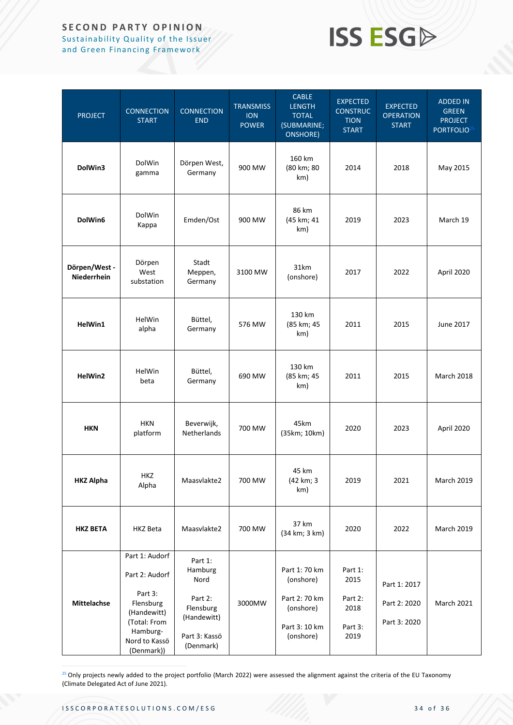### **SECOND PARTY OPINION** Sustainability Quality of the Issuer

and Green Financing Framework

## **ISS ESG**

| <b>PROJECT</b>               | <b>CONNECTION</b><br><b>START</b>                                                                                                  | <b>CONNECTION</b><br><b>END</b>                                                                 | <b>TRANSMISS</b><br><b>ION</b><br><b>POWER</b> | <b>CABLE</b><br><b>LENGTH</b><br><b>TOTAL</b><br>(SUBMARINE;<br><b>ONSHORE)</b>        | <b>EXPECTED</b><br><b>CONSTRUC</b><br><b>TION</b><br><b>START</b> | <b>EXPECTED</b><br><b>OPERATION</b><br><b>START</b> | <b>ADDED IN</b><br><b>GREEN</b><br><b>PROJECT</b><br>PORTFOLIO <sup>25</sup> |
|------------------------------|------------------------------------------------------------------------------------------------------------------------------------|-------------------------------------------------------------------------------------------------|------------------------------------------------|----------------------------------------------------------------------------------------|-------------------------------------------------------------------|-----------------------------------------------------|------------------------------------------------------------------------------|
| DolWin3                      | DolWin<br>gamma                                                                                                                    | Dörpen West,<br>Germany                                                                         | 900 MW                                         | 160 km<br>(80 km; 80<br>km)                                                            | 2014                                                              | 2018                                                | May 2015                                                                     |
| DolWin6                      | DolWin<br>Kappa                                                                                                                    | Emden/Ost                                                                                       | 900 MW                                         | 86 km<br>(45 km; 41<br>km)                                                             | 2019                                                              | 2023                                                | March 19                                                                     |
| Dörpen/West -<br>Niederrhein | Dörpen<br>West<br>substation                                                                                                       | Stadt<br>Meppen,<br>Germany                                                                     | 3100 MW                                        | 31km<br>(onshore)                                                                      | 2017                                                              | 2022                                                | April 2020                                                                   |
| HelWin1                      | HelWin<br>alpha                                                                                                                    | Büttel,<br>Germany                                                                              | 576 MW                                         | 130 km<br>(85 km; 45<br>km)                                                            | 2011                                                              | 2015                                                | June 2017                                                                    |
| HelWin2                      | HelWin<br>beta                                                                                                                     | Büttel,<br>Germany                                                                              | 690 MW                                         | 130 km<br>(85 km; 45<br>km)                                                            | 2011                                                              | 2015                                                | March 2018                                                                   |
| <b>HKN</b>                   | <b>HKN</b><br>platform                                                                                                             | Beverwijk,<br><b>Netherlands</b>                                                                | 700 MW                                         | 45km<br>(35km; 10km)                                                                   | 2020                                                              | 2023                                                | April 2020                                                                   |
| <b>HKZ Alpha</b>             | HKZ<br>Alpha                                                                                                                       | Maasvlakte2                                                                                     | 700 MW                                         | 45 km<br>(42 km; 3<br>km)                                                              | 2019                                                              | 2021                                                | March 2019                                                                   |
| <b>HKZ BETA</b>              | <b>HKZ Beta</b>                                                                                                                    | Maasvlakte2                                                                                     | 700 MW                                         | 37 km<br>(34 km; 3 km)                                                                 | 2020                                                              | 2022                                                | <b>March 2019</b>                                                            |
| <b>Mittelachse</b>           | Part 1: Audorf<br>Part 2: Audorf<br>Part 3:<br>Flensburg<br>(Handewitt)<br>(Total: From<br>Hamburg-<br>Nord to Kassö<br>(Denmark)) | Part 1:<br>Hamburg<br>Nord<br>Part 2:<br>Flensburg<br>(Handewitt)<br>Part 3: Kassö<br>(Denmark) | 3000MW                                         | Part 1: 70 km<br>(onshore)<br>Part 2: 70 km<br>(onshore)<br>Part 3: 10 km<br>(onshore) | Part 1:<br>2015<br>Part 2:<br>2018<br>Part 3:<br>2019             | Part 1: 2017<br>Part 2: 2020<br>Part 3: 2020        | March 2021                                                                   |

<sup>25</sup> Only projects newly added to the project portfolio (March 2022) were assessed the alignment against the criteria of the EU Taxonomy (Climate Delegated Act of June 2021).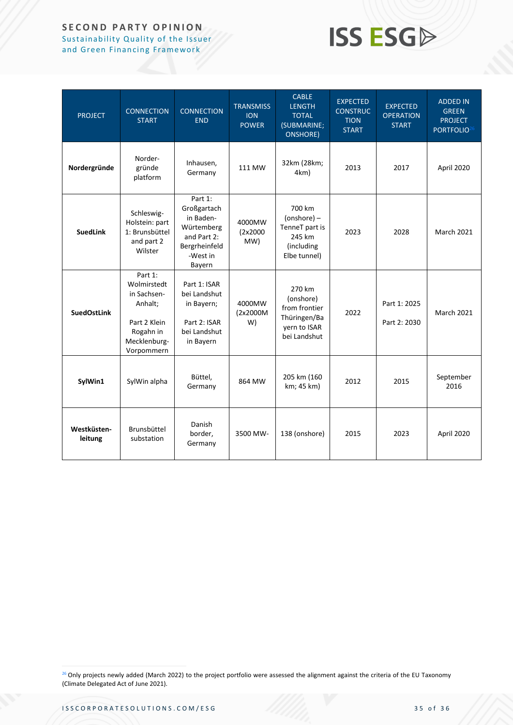### **SECOND PARTY OPINION**

Sustainability Quality of the Issuer and Green Financing Framework

## **ISS ESG**

| <b>PROJECT</b>         | <b>CONNECTION</b><br><b>START</b>                                                                           | <b>CONNECTION</b><br><b>END</b>                                                                         | <b>TRANSMISS</b><br><b>ION</b><br><b>POWER</b> | <b>CABLE</b><br><b>LENGTH</b><br><b>TOTAL</b><br>(SUBMARINE;<br><b>ONSHORE)</b>      | <b>EXPECTED</b><br><b>CONSTRUC</b><br><b>TION</b><br><b>START</b> | <b>EXPECTED</b><br><b>OPERATION</b><br><b>START</b> | <b>ADDED IN</b><br><b>GREEN</b><br><b>PROJECT</b><br>PORTFOLIO <sup>26</sup> |
|------------------------|-------------------------------------------------------------------------------------------------------------|---------------------------------------------------------------------------------------------------------|------------------------------------------------|--------------------------------------------------------------------------------------|-------------------------------------------------------------------|-----------------------------------------------------|------------------------------------------------------------------------------|
| Nordergründe           | Norder-<br>gründe<br>platform                                                                               | Inhausen,<br>Germany                                                                                    | 111 MW                                         | 32km (28km;<br>4km)                                                                  | 2013                                                              | 2017                                                | April 2020                                                                   |
| <b>SuedLink</b>        | Schleswig-<br>Holstein: part<br>1: Brunsbüttel<br>and part 2<br>Wilster                                     | Part 1:<br>Großgartach<br>in Baden-<br>Würtemberg<br>and Part 2:<br>Bergrheinfeld<br>-West in<br>Bayern | 4000MW<br>(2x2000)<br>MW)                      | 700 km<br>$(onshore)$ –<br>TenneT part is<br>245 km<br>(including<br>Elbe tunnel)    | 2023                                                              | 2028                                                | <b>March 2021</b>                                                            |
| <b>SuedOstLink</b>     | Part 1:<br>Wolmirstedt<br>in Sachsen-<br>Anhalt;<br>Part 2 Klein<br>Rogahn in<br>Mecklenburg-<br>Vorpommern | Part 1: ISAR<br>bei Landshut<br>in Bayern;<br>Part 2: ISAR<br>bei Landshut<br>in Bayern                 | 4000MW<br>(2x2000M<br>W)                       | 270 km<br>(onshore)<br>from frontier<br>Thüringen/Ba<br>yern to ISAR<br>bei Landshut | 2022                                                              | Part 1: 2025<br>Part 2: 2030                        | <b>March 2021</b>                                                            |
| SylWin1                | SylWin alpha                                                                                                | Büttel,<br>Germany                                                                                      | 864 MW                                         | 205 km (160<br>km; 45 km)                                                            | 2012                                                              | 2015                                                | September<br>2016                                                            |
| Westküsten-<br>leitung | Brunsbüttel<br>substation                                                                                   | Danish<br>border,<br>Germany                                                                            | 3500 MW-                                       | 138 (onshore)                                                                        | 2015                                                              | 2023                                                | April 2020                                                                   |

<sup>26</sup> Only projects newly added (March 2022) to the project portfolio were assessed the alignment against the criteria of the EU Taxonomy (Climate Delegated Act of June 2021).